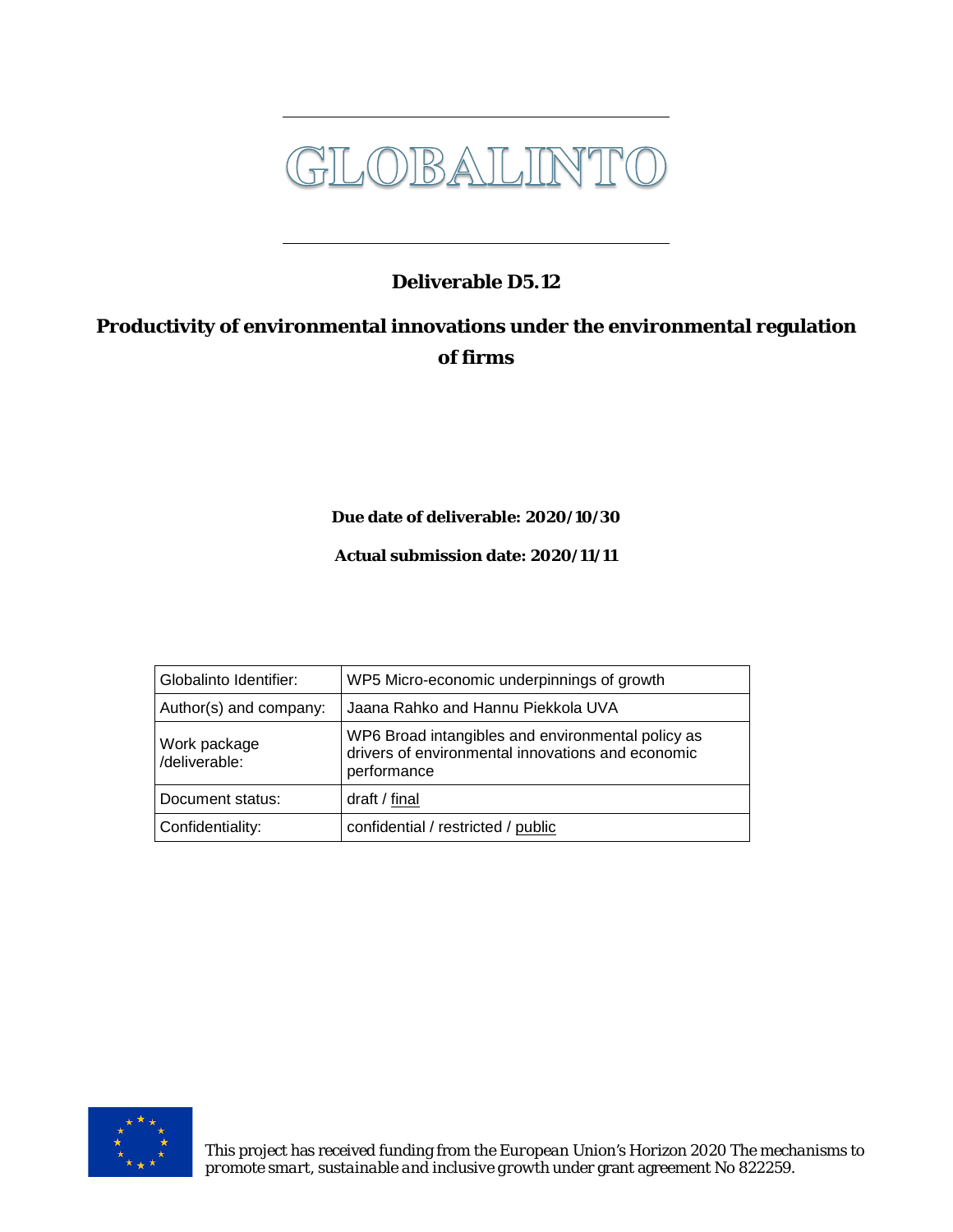

### **Deliverable D5.12**

### **Productivity of environmental innovations under the environmental regulation of firms**

**Due date of deliverable: 2020/10/30**

**Actual submission date: 2020/11/11**

| Globalinto Identifier:        | WP5 Micro-economic underpinnings of growth                                                                            |
|-------------------------------|-----------------------------------------------------------------------------------------------------------------------|
| Author(s) and company:        | Jaana Rahko and Hannu Piekkola UVA                                                                                    |
| Work package<br>/deliverable: | WP6 Broad intangibles and environmental policy as<br>drivers of environmental innovations and economic<br>performance |
| Document status:              | draft / final                                                                                                         |
| Confidentiality:              | confidential / restricted / public                                                                                    |

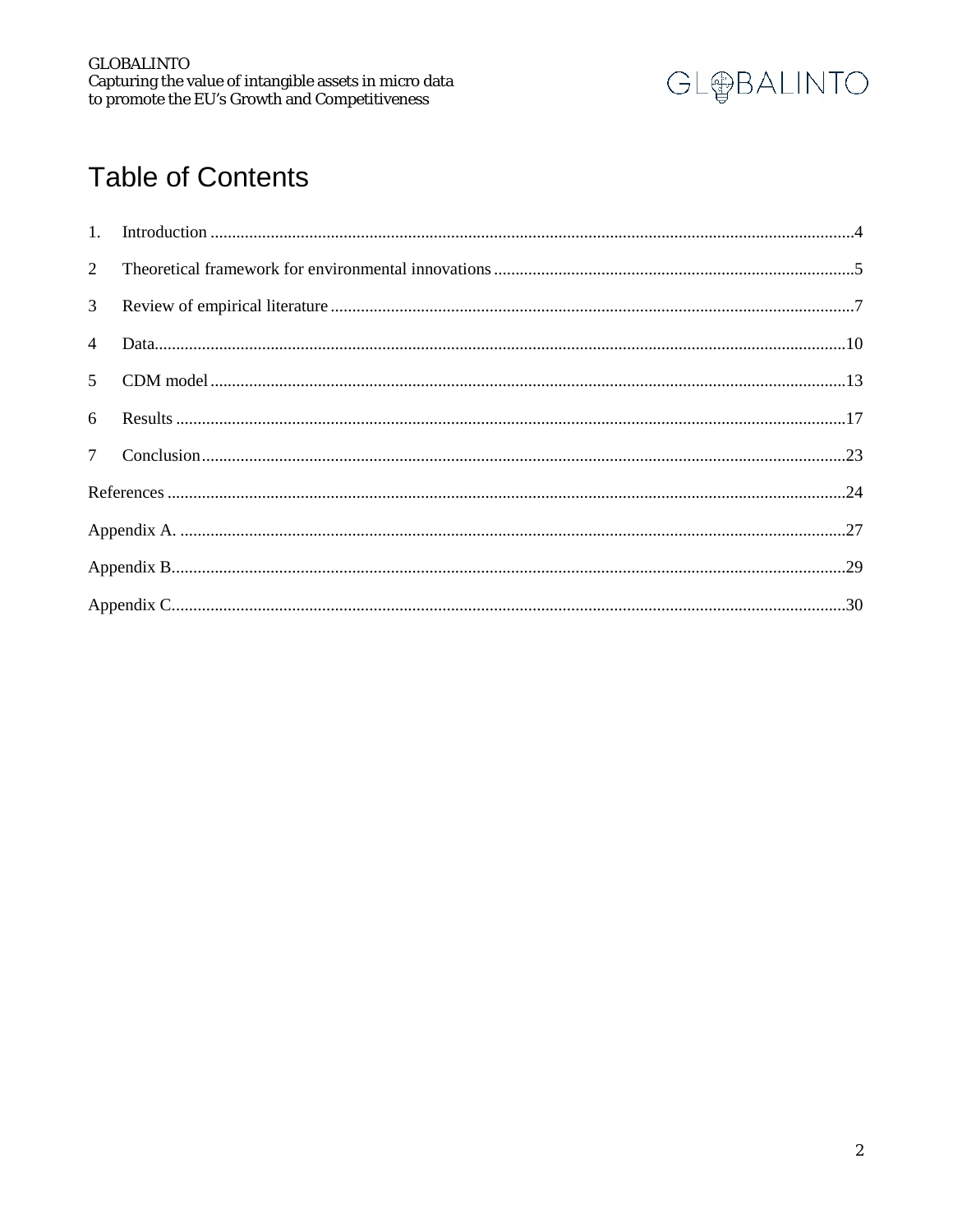

### **Table of Contents**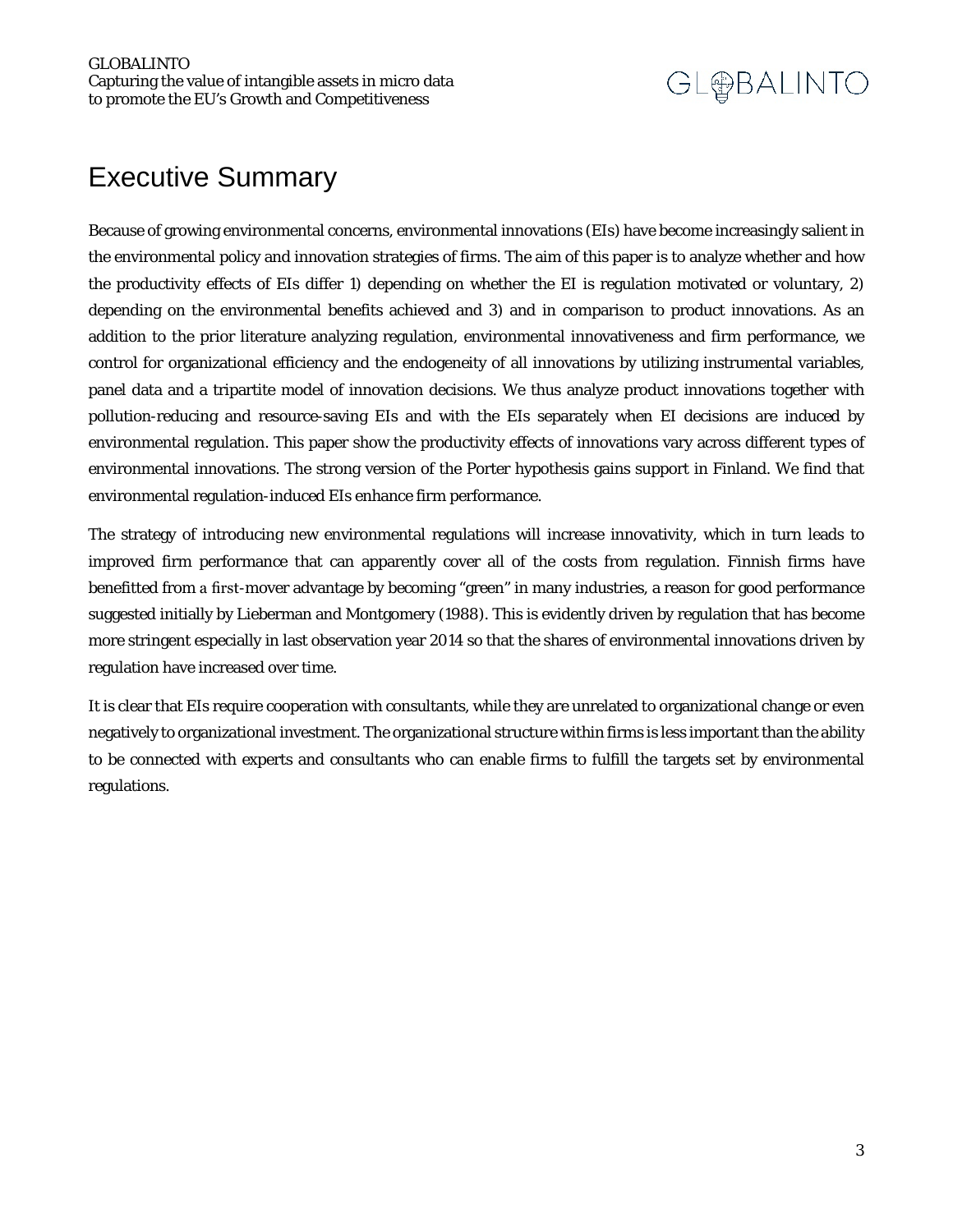### Executive Summary

Because of growing environmental concerns, environmental innovations (EIs) have become increasingly salient in the environmental policy and innovation strategies of firms. The aim of this paper is to analyze whether and how the productivity effects of EIs differ 1) depending on whether the EI is regulation motivated or voluntary, 2) depending on the environmental benefits achieved and 3) and in comparison to product innovations. As an addition to the prior literature analyzing regulation, environmental innovativeness and firm performance, we control for organizational efficiency and the endogeneity of all innovations by utilizing instrumental variables, panel data and a tripartite model of innovation decisions. We thus analyze product innovations together with pollution-reducing and resource-saving EIs and with the EIs separately when EI decisions are induced by environmental regulation. This paper show the productivity effects of innovations vary across different types of environmental innovations. The strong version of the Porter hypothesis gains support in Finland. We find that environmental regulation-induced EIs enhance firm performance.

The strategy of introducing new environmental regulations will increase innovativity, which in turn leads to improved firm performance that can apparently cover all of the costs from regulation. Finnish firms have benefitted from a first-mover advantage by becoming "green" in many industries, a reason for good performance suggested initially by Lieberman and Montgomery (1988). This is evidently driven by regulation that has become more stringent especially in last observation year 2014 so that the shares of environmental innovations driven by regulation have increased over time.

It is clear that EIs require cooperation with consultants, while they are unrelated to organizational change or even negatively to organizational investment. The organizational structure within firms is less important than the ability to be connected with experts and consultants who can enable firms to fulfill the targets set by environmental regulations.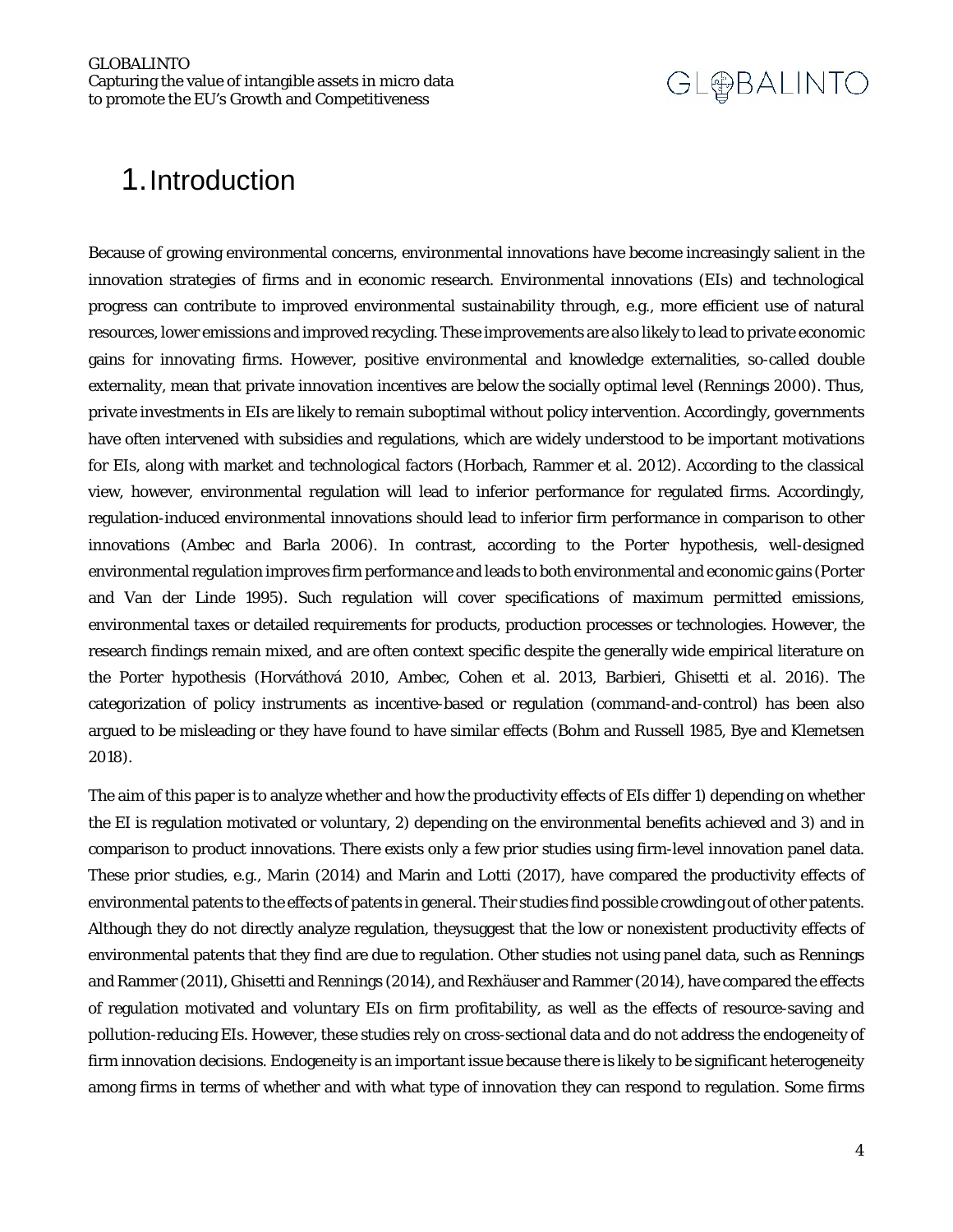### <span id="page-3-0"></span>1.Introduction

Because of growing environmental concerns, environmental innovations have become increasingly salient in the innovation strategies of firms and in economic research. Environmental innovations (EIs) and technological progress can contribute to improved environmental sustainability through, e.g., more efficient use of natural resources, lower emissions and improved recycling. These improvements are also likely to lead to private economic gains for innovating firms. However, positive environmental and knowledge externalities, so-called double externality, mean that private innovation incentives are below the socially optimal level (Rennings 2000). Thus, private investments in EIs are likely to remain suboptimal without policy intervention. Accordingly, governments have often intervened with subsidies and regulations, which are widely understood to be important motivations for EIs, along with market and technological factors (Horbach, Rammer et al. 2012). According to the classical view, however, environmental regulation will lead to inferior performance for regulated firms. Accordingly, regulation-induced environmental innovations should lead to inferior firm performance in comparison to other innovations (Ambec and Barla 2006). In contrast, according to the Porter hypothesis, well-designed environmental regulation improves firm performance and leads to both environmental and economic gains (Porter and Van der Linde 1995). Such regulation will cover specifications of maximum permitted emissions, environmental taxes or detailed requirements for products, production processes or technologies. However, the research findings remain mixed, and are often context specific despite the generally wide empirical literature on the Porter hypothesis (Horváthová 2010, Ambec, Cohen et al. 2013, Barbieri, Ghisetti et al. 2016). The categorization of policy instruments as incentive-based or regulation (command-and-control) has been also argued to be misleading or they have found to have similar effects (Bohm and Russell 1985, Bye and Klemetsen 2018).

The aim of this paper is to analyze whether and how the productivity effects of EIs differ 1) depending on whether the EI is regulation motivated or voluntary, 2) depending on the environmental benefits achieved and 3) and in comparison to product innovations. There exists only a few prior studies using firm-level innovation panel data. These prior studies, e.g., Marin (2014) and Marin and Lotti (2017), have compared the productivity effects of environmental patents to the effects of patents in general. Their studies find possible crowding out of other patents. Although they do not directly analyze regulation, theysuggest that the low or nonexistent productivity effects of environmental patents that they find are due to regulation. Other studies not using panel data, such as Rennings and Rammer (2011), Ghisetti and Rennings (2014), and Rexhäuser and Rammer (2014), have compared the effects of regulation motivated and voluntary EIs on firm profitability, as well as the effects of resource-saving and pollution-reducing EIs. However, these studies rely on cross-sectional data and do not address the endogeneity of firm innovation decisions. Endogeneity is an important issue because there is likely to be significant heterogeneity among firms in terms of whether and with what type of innovation they can respond to regulation. Some firms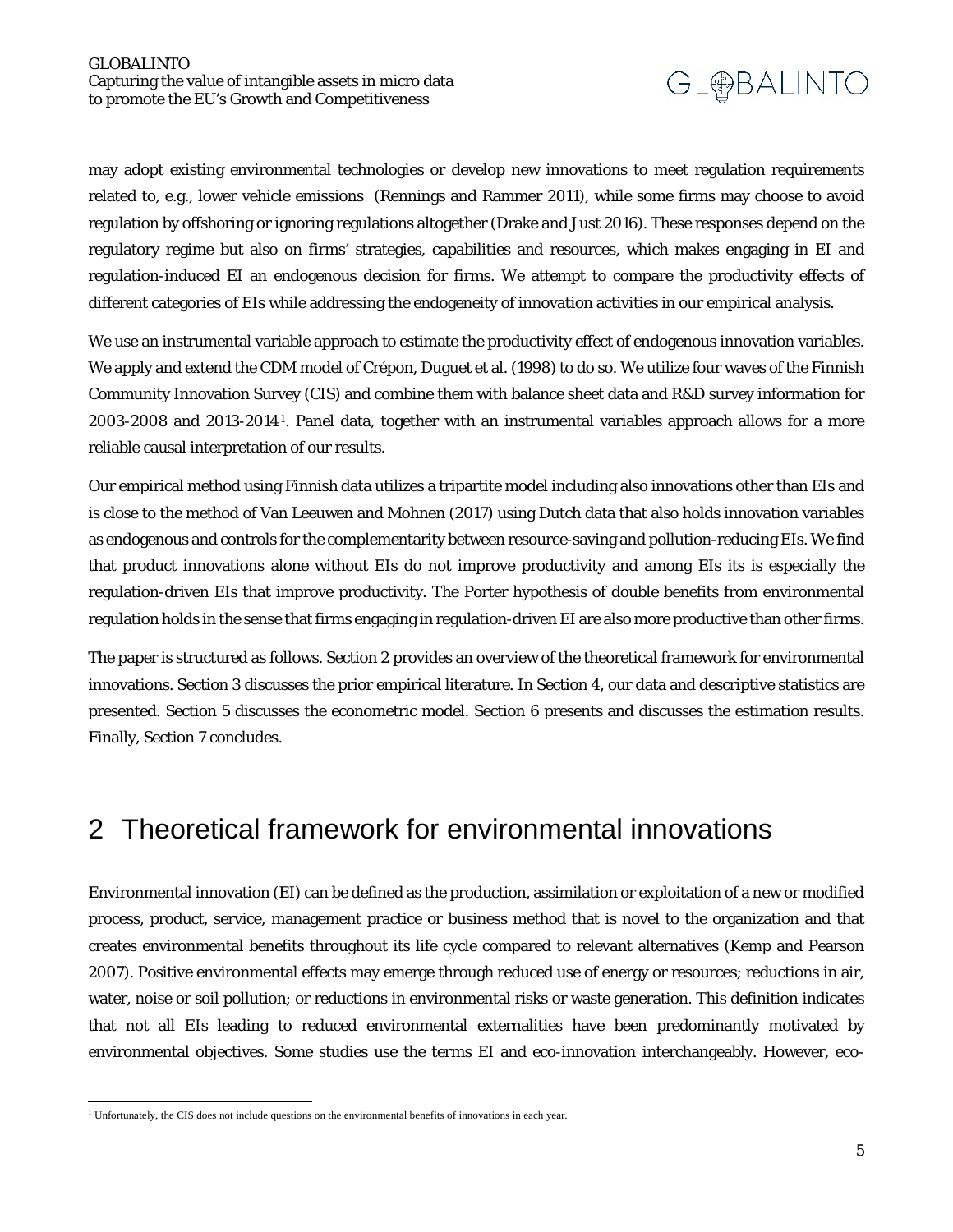may adopt existing environmental technologies or develop new innovations to meet regulation requirements related to, e.g., lower vehicle emissions (Rennings and Rammer 2011), while some firms may choose to avoid regulation by offshoring or ignoring regulations altogether (Drake and Just 2016). These responses depend on the regulatory regime but also on firms' strategies, capabilities and resources, which makes engaging in EI and regulation-induced EI an endogenous decision for firms. We attempt to compare the productivity effects of different categories of EIs while addressing the endogeneity of innovation activities in our empirical analysis.

We use an instrumental variable approach to estimate the productivity effect of endogenous innovation variables. We apply and extend the CDM model of Crépon, Duguet et al. (1998) to do so. We utilize four waves of the Finnish Community Innovation Survey (CIS) and combine them with balance sheet data and R&D survey information for 2003-2008 and 2013-2014[1](#page-4-1). Panel data, together with an instrumental variables approach allows for a more reliable causal interpretation of our results.

Our empirical method using Finnish data utilizes a tripartite model including also innovations other than EIs and is close to the method of Van Leeuwen and Mohnen (2017) using Dutch data that also holds innovation variables as endogenous and controls for the complementarity between resource-saving and pollution-reducing EIs. We find that product innovations alone without EIs do not improve productivity and among EIs its is especially the regulation-driven EIs that improve productivity. The Porter hypothesis of double benefits from environmental regulation holds in the sense that firms engaging in regulation-driven EI are also more productive than other firms.

The paper is structured as follows. Section 2 provides an overview of the theoretical framework for environmental innovations. Section 3 discusses the prior empirical literature. In Section 4, our data and descriptive statistics are presented. Section 5 discusses the econometric model. Section 6 presents and discusses the estimation results. Finally, Section 7 concludes.

### <span id="page-4-0"></span>2 Theoretical framework for environmental innovations

Environmental innovation (EI) can be defined as the production, assimilation or exploitation of a new or modified process, product, service, management practice or business method that is novel to the organization and that creates environmental benefits throughout its life cycle compared to relevant alternatives (Kemp and Pearson 2007). Positive environmental effects may emerge through reduced use of energy or resources; reductions in air, water, noise or soil pollution; or reductions in environmental risks or waste generation. This definition indicates that not all EIs leading to reduced environmental externalities have been predominantly motivated by environmental objectives. Some studies use the terms EI and eco-innovation interchangeably. However, eco-

<span id="page-4-1"></span> $\overline{a}$ <sup>1</sup> Unfortunately, the CIS does not include questions on the environmental benefits of innovations in each year.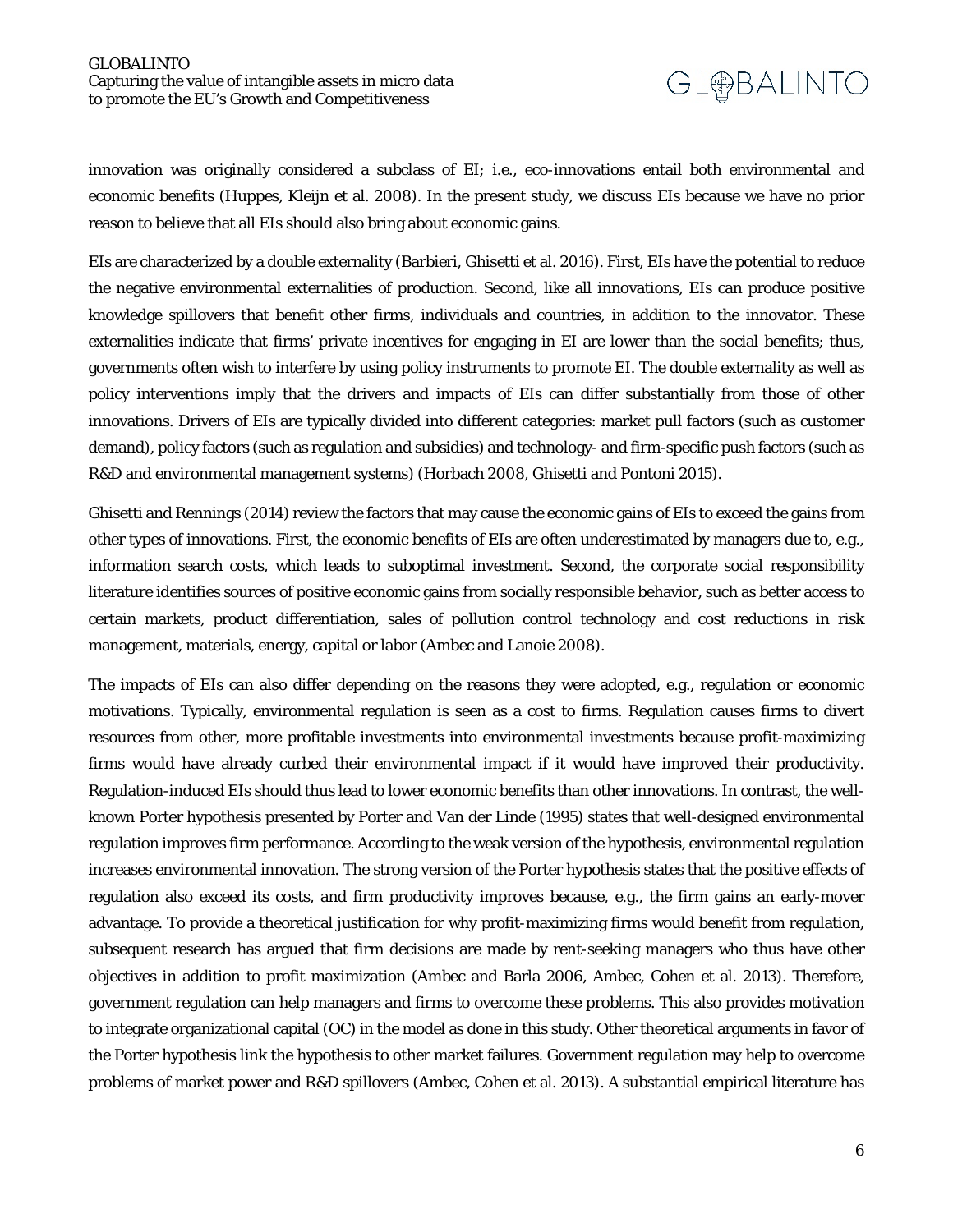innovation was originally considered a subclass of EI; i.e., eco-innovations entail both environmental and economic benefits (Huppes, Kleijn et al. 2008). In the present study, we discuss EIs because we have no prior reason to believe that all EIs should also bring about economic gains.

EIs are characterized by a double externality (Barbieri, Ghisetti et al. 2016). First, EIs have the potential to reduce the negative environmental externalities of production. Second, like all innovations, EIs can produce positive knowledge spillovers that benefit other firms, individuals and countries, in addition to the innovator. These externalities indicate that firms' private incentives for engaging in EI are lower than the social benefits; thus, governments often wish to interfere by using policy instruments to promote EI. The double externality as well as policy interventions imply that the drivers and impacts of EIs can differ substantially from those of other innovations. Drivers of EIs are typically divided into different categories: market pull factors (such as customer demand), policy factors (such as regulation and subsidies) and technology- and firm-specific push factors (such as R&D and environmental management systems) (Horbach 2008, Ghisetti and Pontoni 2015).

Ghisetti and Rennings (2014) review the factors that may cause the economic gains of EIs to exceed the gains from other types of innovations. First, the economic benefits of EIs are often underestimated by managers due to, e.g., information search costs, which leads to suboptimal investment. Second, the corporate social responsibility literature identifies sources of positive economic gains from socially responsible behavior, such as better access to certain markets, product differentiation, sales of pollution control technology and cost reductions in risk management, materials, energy, capital or labor (Ambec and Lanoie 2008).

The impacts of EIs can also differ depending on the reasons they were adopted, e.g., regulation or economic motivations. Typically, environmental regulation is seen as a cost to firms. Regulation causes firms to divert resources from other, more profitable investments into environmental investments because profit-maximizing firms would have already curbed their environmental impact if it would have improved their productivity. Regulation-induced EIs should thus lead to lower economic benefits than other innovations. In contrast, the wellknown Porter hypothesis presented by Porter and Van der Linde (1995) states that well-designed environmental regulation improves firm performance. According to the weak version of the hypothesis, environmental regulation increases environmental innovation. The strong version of the Porter hypothesis states that the positive effects of regulation also exceed its costs, and firm productivity improves because, e.g., the firm gains an early-mover advantage. To provide a theoretical justification for why profit-maximizing firms would benefit from regulation, subsequent research has argued that firm decisions are made by rent-seeking managers who thus have other objectives in addition to profit maximization (Ambec and Barla 2006, Ambec, Cohen et al. 2013). Therefore, government regulation can help managers and firms to overcome these problems. This also provides motivation to integrate organizational capital (OC) in the model as done in this study. Other theoretical arguments in favor of the Porter hypothesis link the hypothesis to other market failures. Government regulation may help to overcome problems of market power and R&D spillovers (Ambec, Cohen et al. 2013). A substantial empirical literature has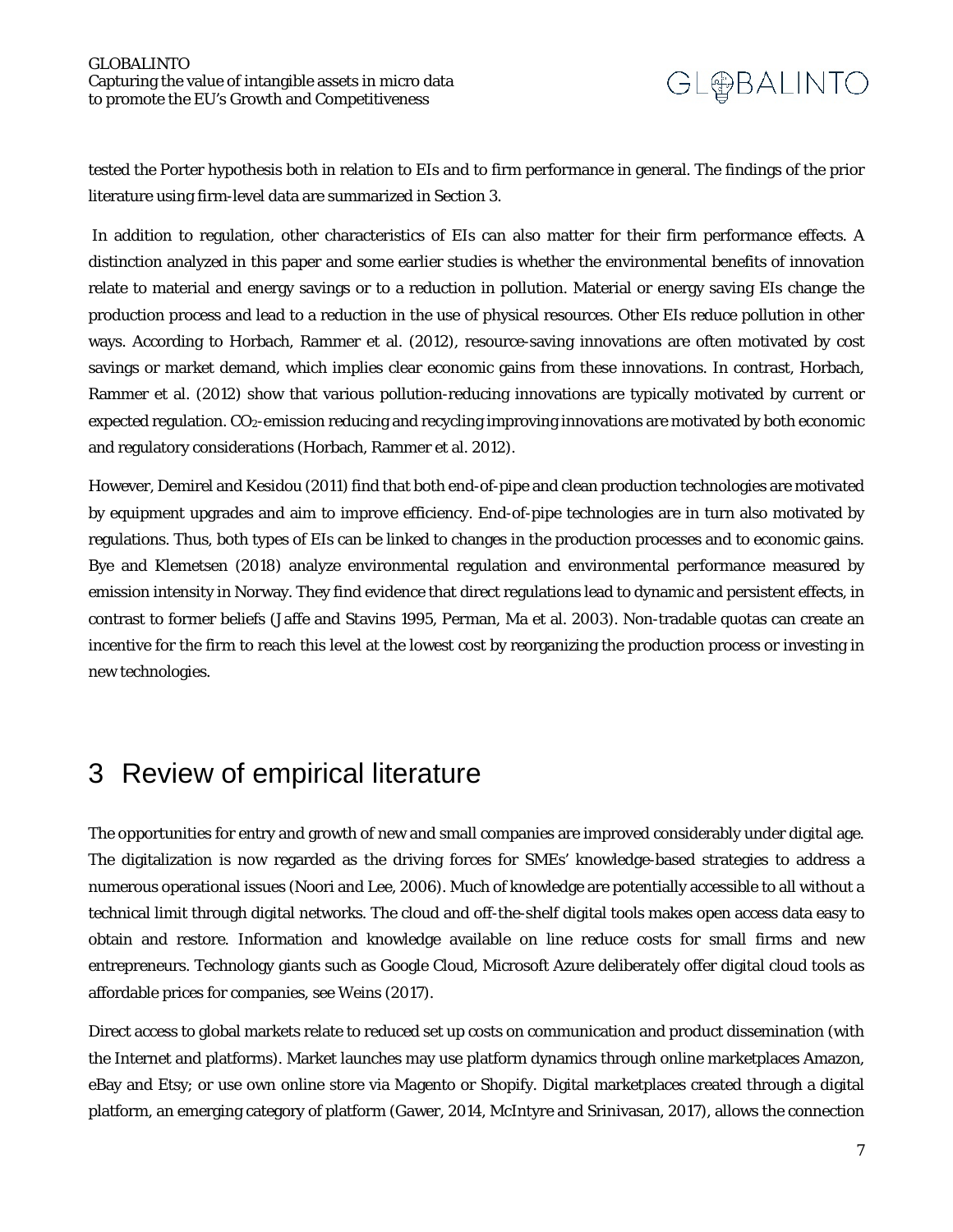tested the Porter hypothesis both in relation to EIs and to firm performance in general. The findings of the prior literature using firm-level data are summarized in Section 3.

In addition to regulation, other characteristics of EIs can also matter for their firm performance effects. A distinction analyzed in this paper and some earlier studies is whether the environmental benefits of innovation relate to material and energy savings or to a reduction in pollution. Material or energy saving EIs change the production process and lead to a reduction in the use of physical resources. Other EIs reduce pollution in other ways. According to Horbach, Rammer et al. (2012), resource-saving innovations are often motivated by cost savings or market demand, which implies clear economic gains from these innovations. In contrast, Horbach, Rammer et al. (2012) show that various pollution-reducing innovations are typically motivated by current or expected regulation. CO2-emission reducing and recycling improving innovations are motivated by both economic and regulatory considerations (Horbach, Rammer et al. 2012).

However, Demirel and Kesidou (2011) find that both end-of-pipe and clean production technologies are motivated by equipment upgrades and aim to improve efficiency. End-of-pipe technologies are in turn also motivated by regulations. Thus, both types of EIs can be linked to changes in the production processes and to economic gains. Bye and Klemetsen (2018) analyze environmental regulation and environmental performance measured by emission intensity in Norway. They find evidence that direct regulations lead to dynamic and persistent effects, in contrast to former beliefs (Jaffe and Stavins 1995, Perman, Ma et al. 2003). Non-tradable quotas can create an incentive for the firm to reach this level at the lowest cost by reorganizing the production process or investing in new technologies.

### <span id="page-6-0"></span>3 Review of empirical literature

The opportunities for entry and growth of new and small companies are improved considerably under digital age. The digitalization is now regarded as the driving forces for SMEs' knowledge-based strategies to address a numerous operational issues (Noori and Lee, 2006). Much of knowledge are potentially accessible to all without a technical limit through digital networks. The cloud and off-the-shelf digital tools makes open access data easy to obtain and restore. Information and knowledge available on line reduce costs for small firms and new entrepreneurs. Technology giants such as Google Cloud, Microsoft Azure deliberately offer digital cloud tools as affordable prices for companies, see Weins (2017).

Direct access to global markets relate to reduced set up costs on communication and product dissemination (with the Internet and platforms). Market launches may use platform dynamics through online marketplaces Amazon, eBay and Etsy; or use own online store via Magento or Shopify. Digital marketplaces created through a digital platform, an emerging category of platform (Gawer, 2014, McIntyre and Srinivasan, 2017), allows the connection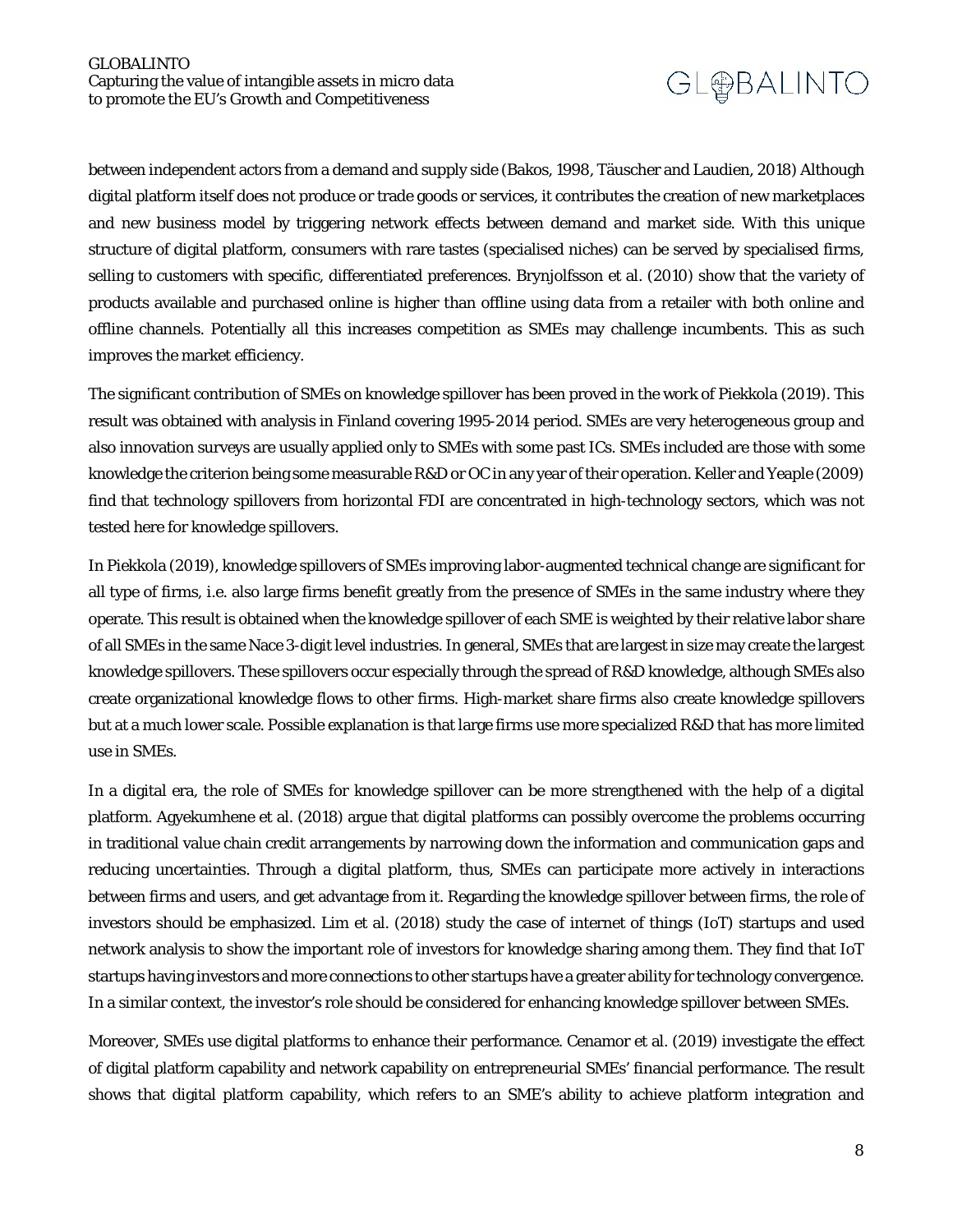between independent actors from a demand and supply side (Bakos, 1998, Täuscher and Laudien, 2018) Although digital platform itself does not produce or trade goods or services, it contributes the creation of new marketplaces and new business model by triggering network effects between demand and market side. With this unique structure of digital platform, consumers with rare tastes (specialised niches) can be served by specialised firms, selling to customers with specific, differentiated preferences. Brynjolfsson et al. (2010) show that the variety of products available and purchased online is higher than offline using data from a retailer with both online and offline channels. Potentially all this increases competition as SMEs may challenge incumbents. This as such improves the market efficiency.

The significant contribution of SMEs on knowledge spillover has been proved in the work of Piekkola (2019). This result was obtained with analysis in Finland covering 1995-2014 period. SMEs are very heterogeneous group and also innovation surveys are usually applied only to SMEs with some past ICs. SMEs included are those with some knowledge the criterion being some measurable R&D or OC in any year of their operation. Keller and Yeaple (2009) find that technology spillovers from horizontal FDI are concentrated in high-technology sectors, which was not tested here for knowledge spillovers.

In Piekkola (2019), knowledge spillovers of SMEs improving labor-augmented technical change are significant for all type of firms, i.e. also large firms benefit greatly from the presence of SMEs in the same industry where they operate. This result is obtained when the knowledge spillover of each SME is weighted by their relative labor share of all SMEs in the same Nace 3-digit level industries. In general, SMEs that are largest in size may create the largest knowledge spillovers. These spillovers occur especially through the spread of R&D knowledge, although SMEs also create organizational knowledge flows to other firms. High-market share firms also create knowledge spillovers but at a much lower scale. Possible explanation is that large firms use more specialized R&D that has more limited use in SMEs.

In a digital era, the role of SMEs for knowledge spillover can be more strengthened with the help of a digital platform. Agyekumhene et al. (2018) argue that digital platforms can possibly overcome the problems occurring in traditional value chain credit arrangements by narrowing down the information and communication gaps and reducing uncertainties. Through a digital platform, thus, SMEs can participate more actively in interactions between firms and users, and get advantage from it. Regarding the knowledge spillover between firms, the role of investors should be emphasized. Lim et al. (2018) study the case of internet of things (IoT) startups and used network analysis to show the important role of investors for knowledge sharing among them. They find that IoT startups having investors and more connections to other startups have a greater ability for technology convergence. In a similar context, the investor's role should be considered for enhancing knowledge spillover between SMEs.

Moreover, SMEs use digital platforms to enhance their performance. Cenamor et al. (2019) investigate the effect of digital platform capability and network capability on entrepreneurial SMEs' financial performance. The result shows that digital platform capability, which refers to an SME's ability to achieve platform integration and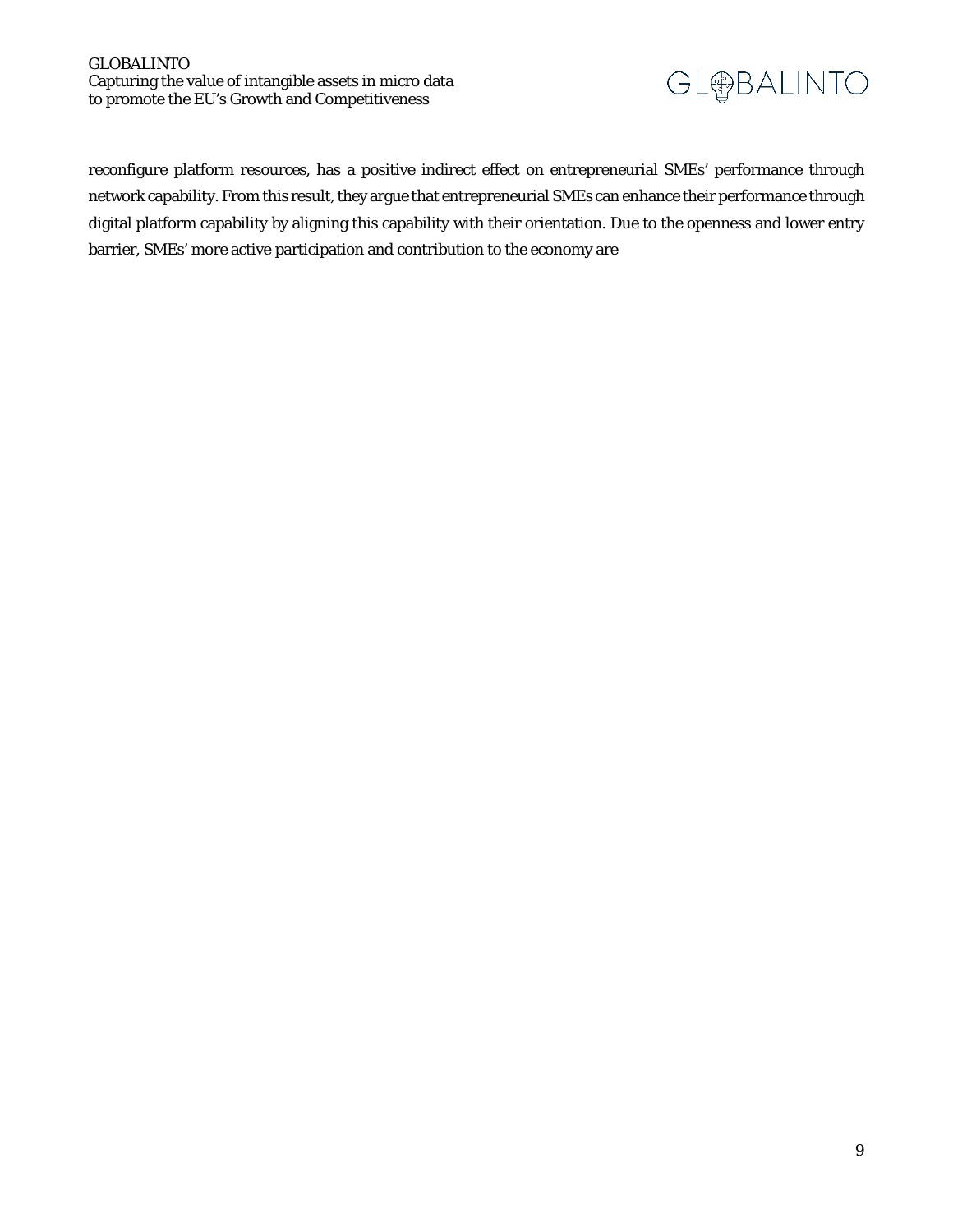#### GLOBALINTO Capturing the value of intangible assets in micro data to promote the EU's Growth and Competitiveness

# GL@BALINTO

reconfigure platform resources, has a positive indirect effect on entrepreneurial SMEs' performance through network capability. From this result, they argue that entrepreneurial SMEs can enhance their performance through digital platform capability by aligning this capability with their orientation. Due to the openness and lower entry barrier, SMEs' more active participation and contribution to the economy are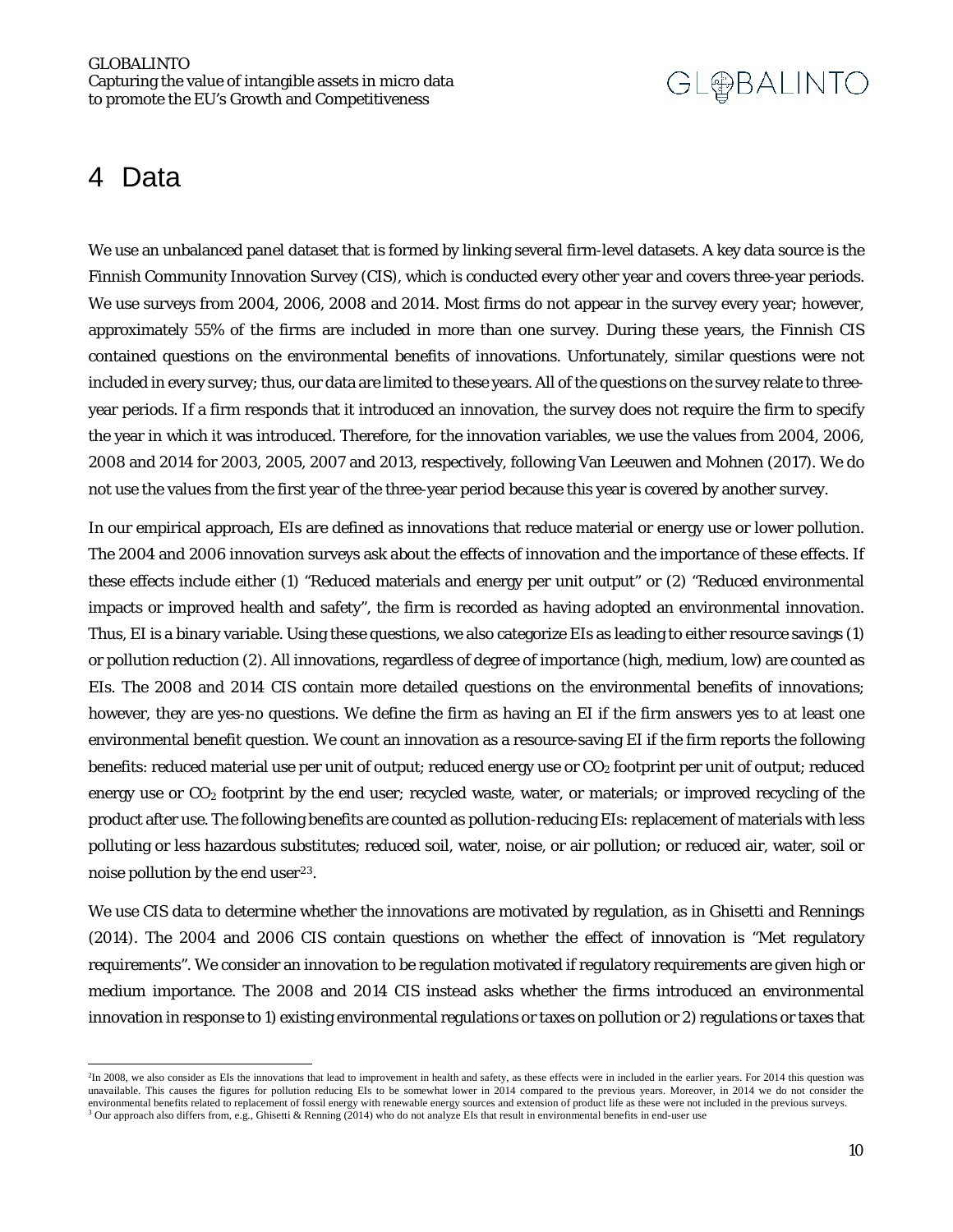### <span id="page-9-0"></span>4 Data

 $\overline{a}$ 

We use an unbalanced panel dataset that is formed by linking several firm-level datasets. A key data source is the Finnish Community Innovation Survey (CIS), which is conducted every other year and covers three-year periods. We use surveys from 2004, 2006, 2008 and 2014. Most firms do not appear in the survey every year; however, approximately 55% of the firms are included in more than one survey. During these years, the Finnish CIS contained questions on the environmental benefits of innovations. Unfortunately, similar questions were not included in every survey; thus, our data are limited to these years. All of the questions on the survey relate to threeyear periods. If a firm responds that it introduced an innovation, the survey does not require the firm to specify the year in which it was introduced. Therefore, for the innovation variables, we use the values from 2004, 2006, 2008 and 2014 for 2003, 2005, 2007 and 2013, respectively, following Van Leeuwen and Mohnen (2017). We do not use the values from the first year of the three-year period because this year is covered by another survey.

In our empirical approach, EIs are defined as innovations that reduce material or energy use or lower pollution. The 2004 and 2006 innovation surveys ask about the effects of innovation and the importance of these effects. If these effects include either (1) "Reduced materials and energy per unit output" or (2) "Reduced environmental impacts or improved health and safety", the firm is recorded as having adopted an environmental innovation. Thus, EI is a binary variable. Using these questions, we also categorize EIs as leading to either resource savings (1) or pollution reduction (2). All innovations, regardless of degree of importance (high, medium, low) are counted as EIs. The 2008 and 2014 CIS contain more detailed questions on the environmental benefits of innovations; however, they are yes-no questions. We define the firm as having an EI if the firm answers yes to at least one environmental benefit question. We count an innovation as a resource-saving EI if the firm reports the following benefits: reduced material use per unit of output; reduced energy use or  $CO<sub>2</sub>$  footprint per unit of output; reduced energy use or  $CO<sub>2</sub>$  footprint by the end user; recycled waste, water, or materials; or improved recycling of the product after use. The following benefits are counted as pollution-reducing EIs: replacement of materials with less polluting or less hazardous substitutes; reduced soil, water, noise, or air pollution; or reduced air, water, soil or noise pollution by the end user<sup>[2](#page-9-1)3</sup>.

We use CIS data to determine whether the innovations are motivated by regulation, as in Ghisetti and Rennings (2014). The 2004 and 2006 CIS contain questions on whether the effect of innovation is "Met regulatory requirements". We consider an innovation to be regulation motivated if regulatory requirements are given high or medium importance. The 2008 and 2014 CIS instead asks whether the firms introduced an environmental innovation in response to 1) existing environmental regulations or taxes on pollution or 2) regulations or taxes that

<span id="page-9-2"></span><span id="page-9-1"></span><sup>&</sup>lt;sup>2</sup>In 2008, we also consider as EIs the innovations that lead to improvement in health and safety, as these effects were in included in the earlier years. For 2014 this question was unavailable. This causes the figures for pollution reducing EIs to be somewhat lower in 2014 compared to the previous years. Moreover, in 2014 we do not consider the environmental benefits related to replacement of fossil energy with renewable energy sources and extension of product life as these were not included in the previous surveys.  $3$  Our approach also differs from, e.g., Ghisetti & Renning (2014) who do not analyze EIs that result in environmental benefits in end-user use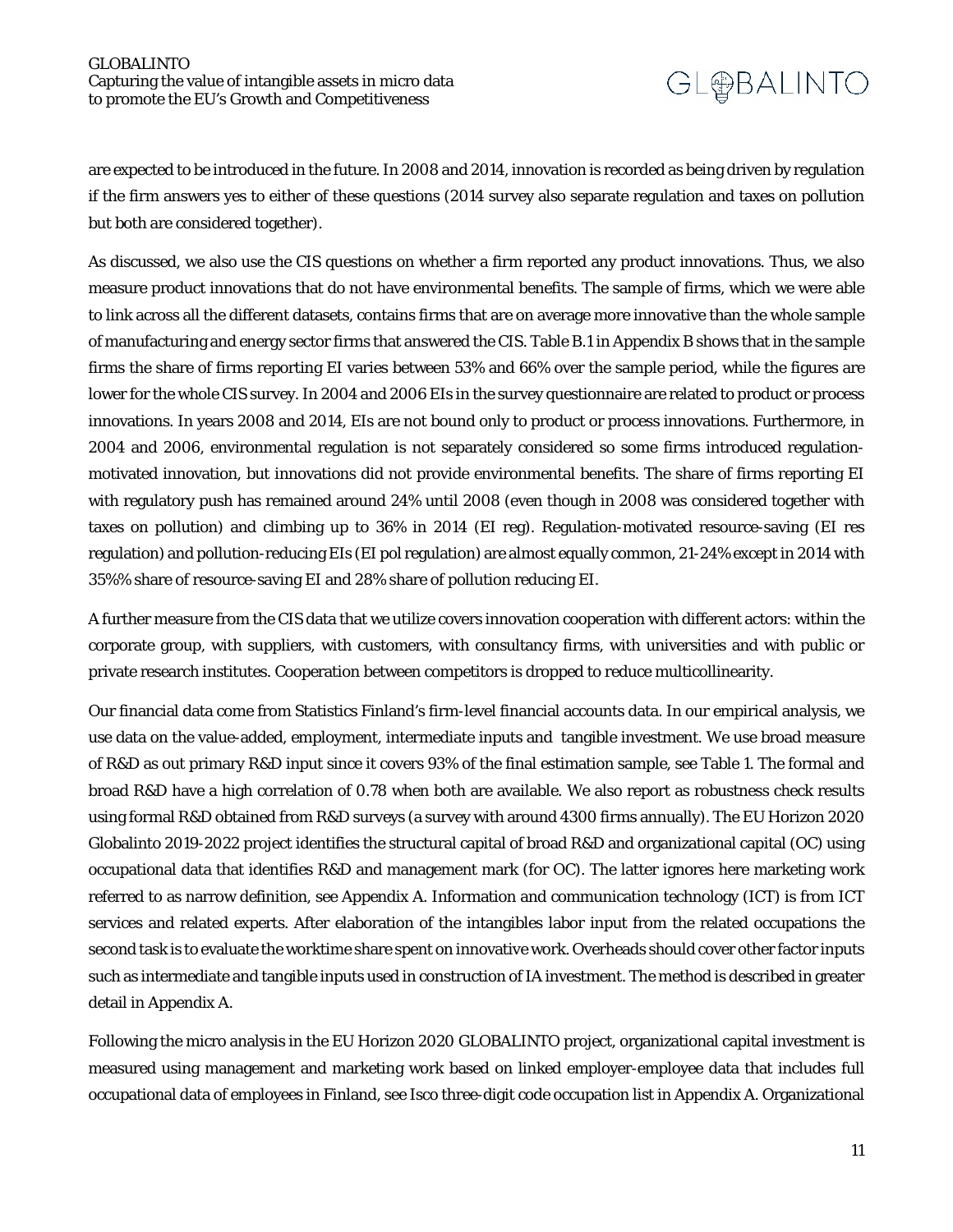are expected to be introduced in the future. In 2008 and 2014, innovation is recorded as being driven by regulation if the firm answers yes to either of these questions (2014 survey also separate regulation and taxes on pollution but both are considered together).

As discussed, we also use the CIS questions on whether a firm reported any product innovations. Thus, we also measure product innovations that do not have environmental benefits. The sample of firms, which we were able to link across all the different datasets, contains firms that are on average more innovative than the whole sample of manufacturing and energy sector firms that answered the CIS. Table B.1 in Appendix B shows that in the sample firms the share of firms reporting EI varies between 53% and 66% over the sample period, while the figures are lower for the whole CIS survey. In 2004 and 2006 EIs in the survey questionnaire are related to product or process innovations. In years 2008 and 2014, EIs are not bound only to product or process innovations. Furthermore, in 2004 and 2006, environmental regulation is not separately considered so some firms introduced regulationmotivated innovation, but innovations did not provide environmental benefits. The share of firms reporting EI with regulatory push has remained around 24% until 2008 (even though in 2008 was considered together with taxes on pollution) and climbing up to 36% in 2014 (EI reg). Regulation-motivated resource-saving (EI res regulation) and pollution-reducing EIs (EI pol regulation) are almost equally common, 21-24% except in 2014 with 35%% share of resource-saving EI and 28% share of pollution reducing EI.

A further measure from the CIS data that we utilize covers innovation cooperation with different actors: within the corporate group, with suppliers, with customers, with consultancy firms, with universities and with public or private research institutes. Cooperation between competitors is dropped to reduce multicollinearity.

Our financial data come from Statistics Finland's firm-level financial accounts data. In our empirical analysis, we use data on the value-added, employment, intermediate inputs and tangible investment. We use broad measure of R&D as out primary R&D input since it covers 93% of the final estimation sample, see Table 1. The formal and broad R&D have a high correlation of 0.78 when both are available. We also report as robustness check results using formal R&D obtained from R&D surveys (a survey with around 4300 firms annually). The EU Horizon 2020 Globalinto 2019-2022 project identifies the structural capital of broad R&D and organizational capital (OC) using occupational data that identifies R&D and management mark (for OC). The latter ignores here marketing work referred to as narrow definition, see Appendix A. Information and communication technology (ICT) is from ICT services and related experts. After elaboration of the intangibles labor input from the related occupations the second task is to evaluate the worktime share spent on innovative work. Overheads should cover other factor inputs such as intermediate and tangible inputs used in construction of IA investment. The method is described in greater detail in Appendix A.

Following the micro analysis in the EU Horizon 2020 GLOBALINTO project, organizational capital investment is measured using management and marketing work based on linked employer-employee data that includes full occupational data of employees in Finland, see Isco three-digit code occupation list in Appendix A. Organizational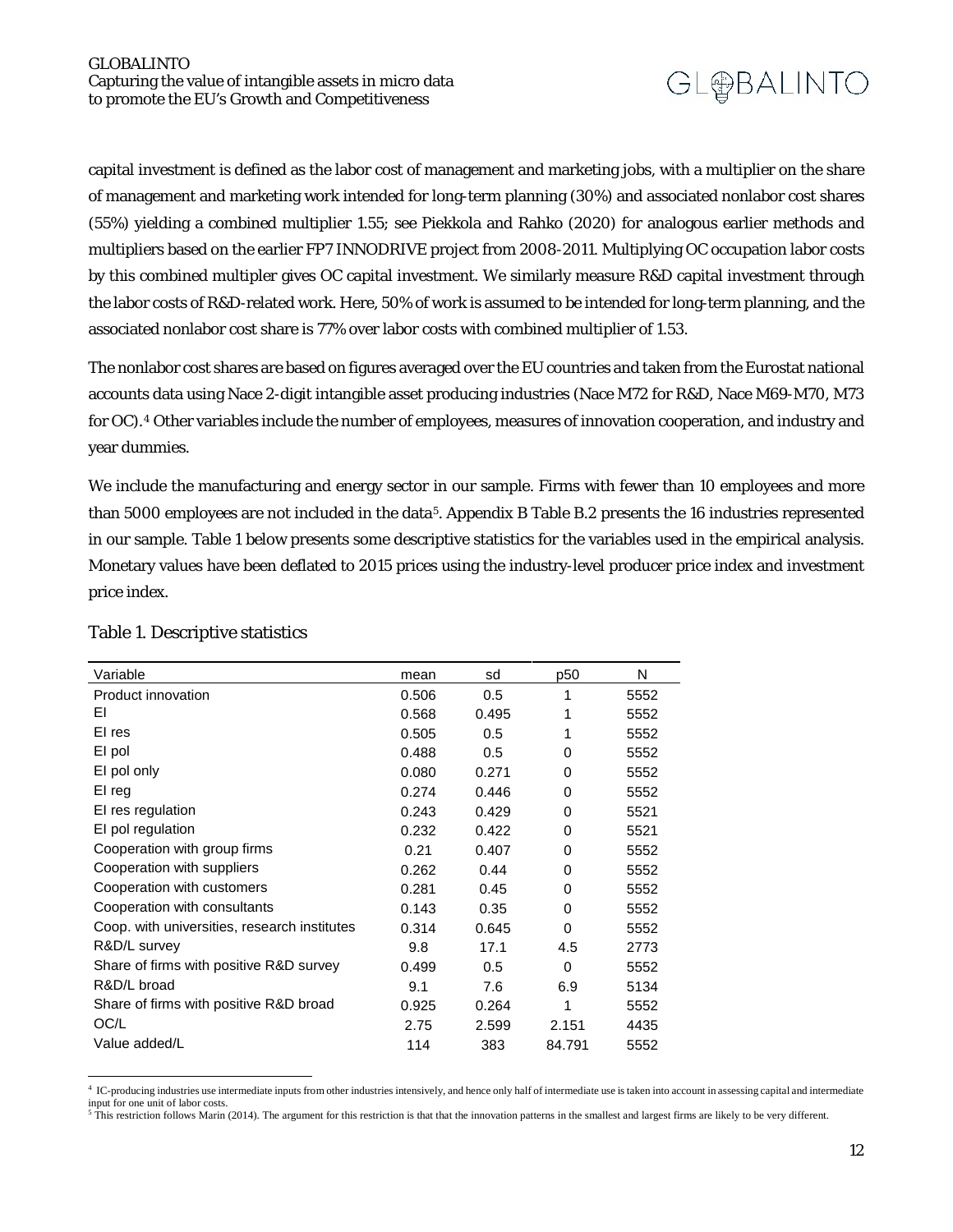capital investment is defined as the labor cost of management and marketing jobs, with a multiplier on the share of management and marketing work intended for long-term planning (30%) and associated nonlabor cost shares (55%) yielding a combined multiplier 1.55; see Piekkola and Rahko (2020) for analogous earlier methods and multipliers based on the earlier FP7 INNODRIVE project from 2008-2011. Multiplying OC occupation labor costs by this combined multipler gives OC capital investment. We similarly measure R&D capital investment through the labor costs of R&D-related work. Here, 50% of work is assumed to be intended for long-term planning, and the associated nonlabor cost share is 77% over labor costs with combined multiplier of 1.53.

The nonlabor cost shares are based on figures averaged over the EU countries and taken from the Eurostat national accounts data using Nace 2-digit intangible asset producing industries (Nace M72 for R&D, Nace M69-M70, M73 for OC).[4](#page-11-0) Other variables include the number of employees, measures of innovation cooperation, and industry and year dummies.

We include the manufacturing and energy sector in our sample. Firms with fewer than 10 employees and more than 5000 employees are not included in the data<sup>5</sup>. Appendix B Table B.2 presents the 16 industries represented in our sample. Table 1 below presents some descriptive statistics for the variables used in the empirical analysis. Monetary values have been deflated to 2015 prices using the industry-level producer price index and investment price index.

| Variable                                     | mean  | sd    | p50      | N    |
|----------------------------------------------|-------|-------|----------|------|
| Product innovation                           | 0.506 | 0.5   | 1        | 5552 |
| ΕI                                           | 0.568 | 0.495 | 1        | 5552 |
| EI res                                       | 0.505 | 0.5   | 1        | 5552 |
| EI pol                                       | 0.488 | 0.5   | 0        | 5552 |
| El pol only                                  | 0.080 | 0.271 | 0        | 5552 |
| El reg                                       | 0.274 | 0.446 | 0        | 5552 |
| EI res regulation                            | 0.243 | 0.429 | 0        | 5521 |
| EI pol regulation                            | 0.232 | 0.422 | 0        | 5521 |
| Cooperation with group firms                 | 0.21  | 0.407 | 0        | 5552 |
| Cooperation with suppliers                   | 0.262 | 0.44  | 0        | 5552 |
| Cooperation with customers                   | 0.281 | 0.45  | 0        | 5552 |
| Cooperation with consultants                 | 0.143 | 0.35  | $\Omega$ | 5552 |
| Coop. with universities, research institutes | 0.314 | 0.645 | 0        | 5552 |
| R&D/L survey                                 | 9.8   | 17.1  | 4.5      | 2773 |
| Share of firms with positive R&D survey      | 0.499 | 0.5   | 0        | 5552 |
| R&D/L broad                                  | 9.1   | 7.6   | 6.9      | 5134 |
| Share of firms with positive R&D broad       | 0.925 | 0.264 | 1        | 5552 |
| OC/L                                         | 2.75  | 2.599 | 2.151    | 4435 |
| Value added/L                                | 114   | 383   | 84.791   | 5552 |
|                                              |       |       |          |      |

#### Table 1. Descriptive statistics

 $\overline{a}$ 

<span id="page-11-0"></span><sup>4</sup> IC-producing industries use intermediate inputs from other industries intensively, and hence only half of intermediate use is taken into account in assessing capital and intermediate input for one unit of labor costs.

<span id="page-11-1"></span> $5$  This restriction follows Marin (2014). The argument for this restriction is that that the innovation patterns in the smallest and largest firms are likely to be very different.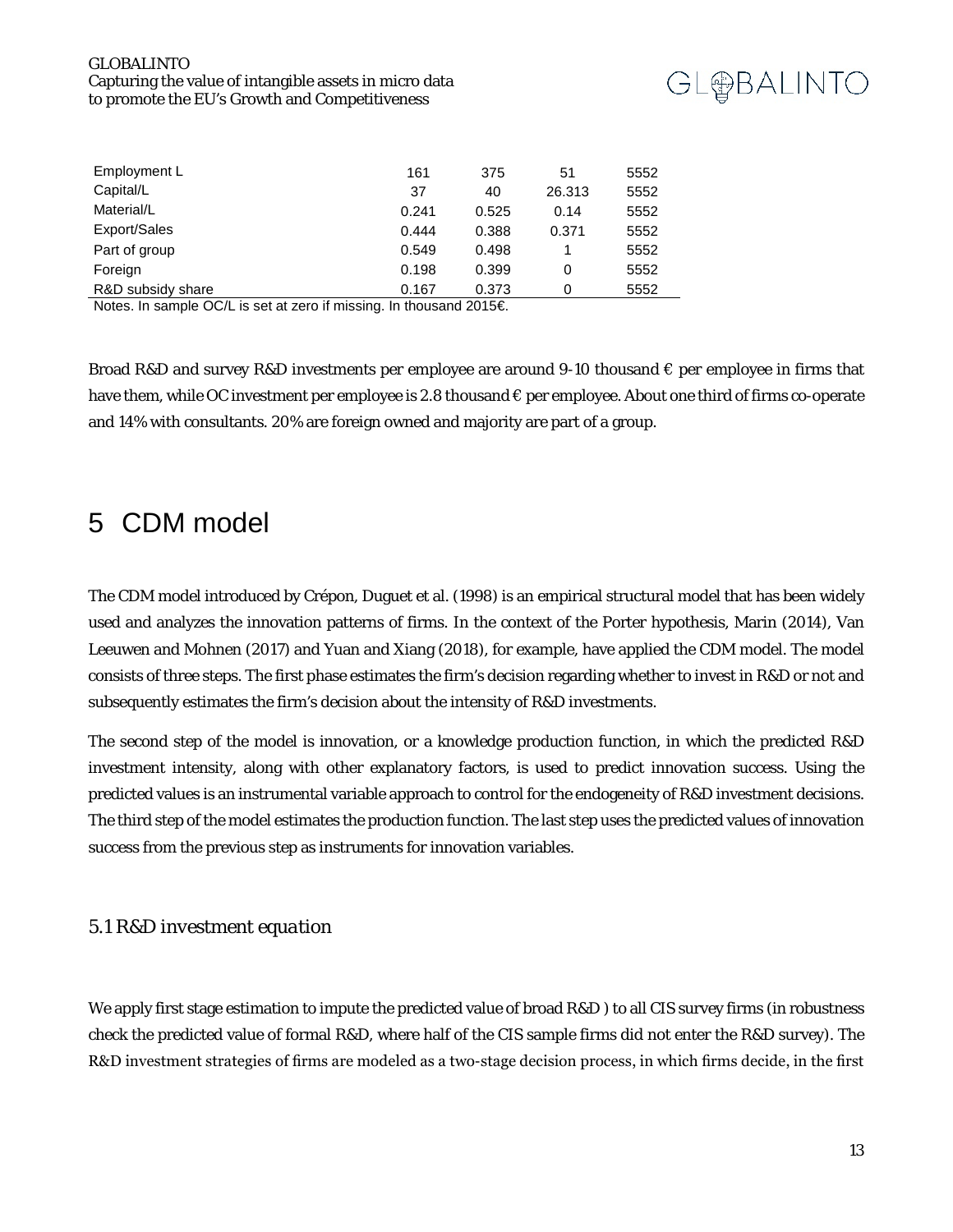#### GLOBALINTO Capturing the value of intangible assets in micro data to promote the EU's Growth and Competitiveness



| Employment L      | 161   | 375   | 51     | 5552 |
|-------------------|-------|-------|--------|------|
| Capital/L         | 37    | 40    | 26.313 | 5552 |
| Material/L        | 0.241 | 0.525 | 0.14   | 5552 |
| Export/Sales      | 0.444 | 0.388 | 0.371  | 5552 |
| Part of group     | 0.549 | 0.498 |        | 5552 |
| Foreign           | 0.198 | 0.399 | 0      | 5552 |
| R&D subsidy share | 0.167 | 0.373 | 0      | 5552 |

Notes. In sample OC/L is set at zero if missing. In thousand 2015€.

Broad R&D and survey R&D investments per employee are around 9-10 thousand  $\epsilon$  per employee in firms that have them, while OC investment per employee is 2.8 thousand € per employee. About one third of firms co-operate and 14% with consultants. 20% are foreign owned and majority are part of a group.

### <span id="page-12-0"></span>5 CDM model

The CDM model introduced by Crépon, Duguet et al. (1998) is an empirical structural model that has been widely used and analyzes the innovation patterns of firms. In the context of the Porter hypothesis, Marin (2014), Van Leeuwen and Mohnen (2017) and Yuan and Xiang (2018), for example, have applied the CDM model. The model consists of three steps. The first phase estimates the firm's decision regarding whether to invest in R&D or not and subsequently estimates the firm's decision about the intensity of R&D investments.

The second step of the model is innovation, or a knowledge production function, in which the predicted R&D investment intensity, along with other explanatory factors, is used to predict innovation success. Using the predicted values is an instrumental variable approach to control for the endogeneity of R&D investment decisions. The third step of the model estimates the production function. The last step uses the predicted values of innovation success from the previous step as instruments for innovation variables.

#### *5.1 R&D investment equation*

We apply first stage estimation to impute the predicted value of broad R&D ) to all CIS survey firms (in robustness check the predicted value of formal R&D, where half of the CIS sample firms did not enter the R&D survey). The R&D investment strategies of firms are modeled as a two-stage decision process, in which firms decide, in the first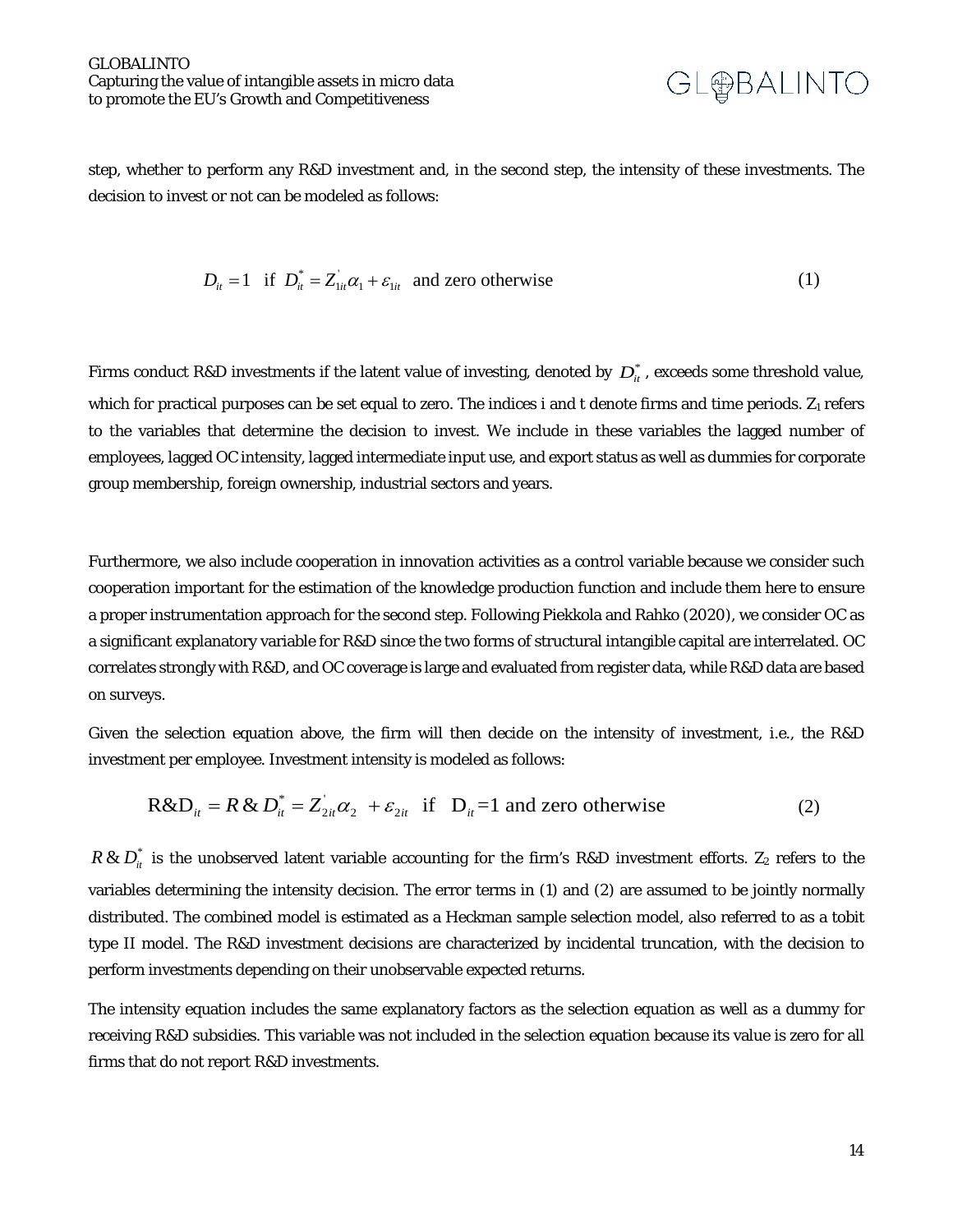

step, whether to perform any R&D investment and, in the second step, the intensity of these investments. The decision to invest or not can be modeled as follows:

$$
D_{ii} = 1 \quad \text{if} \quad D_{ii}^* = Z_{1ii}^* \alpha_1 + \varepsilon_{1ii} \quad \text{and zero otherwise} \tag{1}
$$

Firms conduct R&D investments if the latent value of investing, denoted by  $D_{it}^*$ , exceeds some threshold value, which for practical purposes can be set equal to zero. The indices i and t denote firms and time periods.  $Z_1$  refers to the variables that determine the decision to invest. We include in these variables the lagged number of employees, lagged OC intensity, lagged intermediate input use, and export status as well as dummies for corporate group membership, foreign ownership, industrial sectors and years.

Furthermore, we also include cooperation in innovation activities as a control variable because we consider such cooperation important for the estimation of the knowledge production function and include them here to ensure a proper instrumentation approach for the second step. Following Piekkola and Rahko (2020), we consider OC as a significant explanatory variable for R&D since the two forms of structural intangible capital are interrelated. OC correlates strongly with R&D, and OC coverage is large and evaluated from register data, while R&D data are based on surveys.

Given the selection equation above, the firm will then decide on the intensity of investment, i.e., the R&D investment per employee. Investment intensity is modeled as follows:

$$
R&D_{ii} = R&D_{ii}^* = Z_{2ii}^* \alpha_2 + \varepsilon_{2ii} \text{ if } D_{ii} = 1 \text{ and zero otherwise}
$$
 (2)

 $R \& D_{it}^*$  is the unobserved latent variable accounting for the firm's R&D investment efforts. Z<sub>2</sub> refers to the variables determining the intensity decision. The error terms in (1) and (2) are assumed to be jointly normally distributed. The combined model is estimated as a Heckman sample selection model, also referred to as a tobit type II model. The R&D investment decisions are characterized by incidental truncation, with the decision to perform investments depending on their unobservable expected returns.

The intensity equation includes the same explanatory factors as the selection equation as well as a dummy for receiving R&D subsidies. This variable was not included in the selection equation because its value is zero for all firms that do not report R&D investments.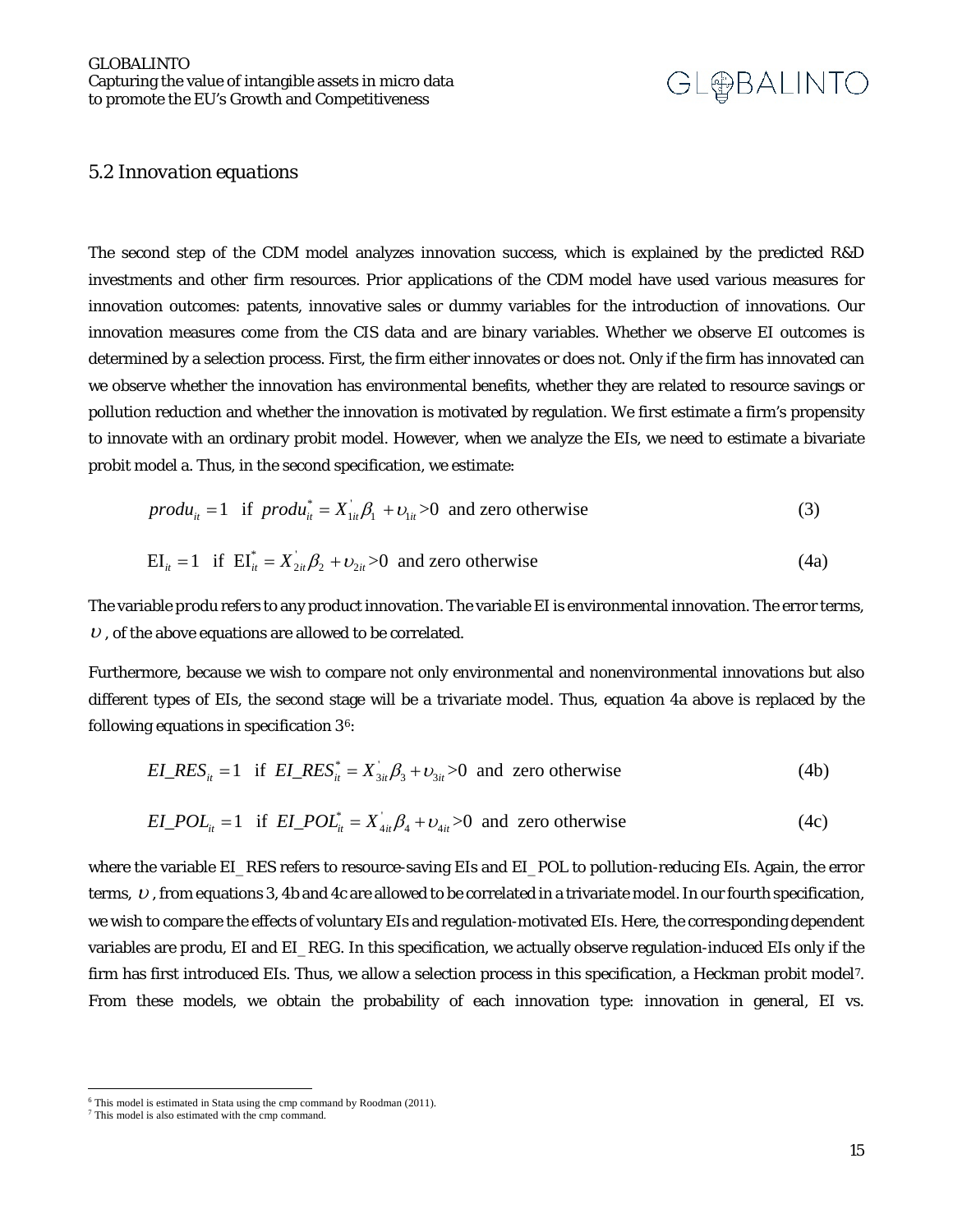#### *5.2 Innovation equations*

The second step of the CDM model analyzes innovation success, which is explained by the predicted R&D investments and other firm resources. Prior applications of the CDM model have used various measures for innovation outcomes: patents, innovative sales or dummy variables for the introduction of innovations. Our innovation measures come from the CIS data and are binary variables. Whether we observe EI outcomes is determined by a selection process. First, the firm either innovates or does not. Only if the firm has innovated can we observe whether the innovation has environmental benefits, whether they are related to resource savings or pollution reduction and whether the innovation is motivated by regulation. We first estimate a firm's propensity to innovate with an ordinary probit model. However, when we analyze the EIs, we need to estimate a bivariate probit model a. Thus, in the second specification, we estimate:

$$
prod_{ii} = 1 \quad \text{if } produ_{ii}^* = X_{1ii} \beta_1 + \nu_{1ii} > 0 \quad \text{and zero otherwise} \tag{3}
$$

$$
EI_{it} = 1 \text{ if } EI_{it}^* = X_{2it} \beta_2 + \nu_{2it} > 0 \text{ and zero otherwise}
$$
 (4a)

The variable *produ* refers to any product innovation. The variable *EI* is environmental innovation. The error terms,  $U$ , of the above equations are allowed to be correlated.

Furthermore, because we wish to compare not only environmental and nonenvironmental innovations but also different types of EIs, the second stage will be a trivariate model. Thus, equation 4a above is replaced by the following equations in specification  $3<sup>6</sup>$  $3<sup>6</sup>$  $3<sup>6</sup>$ :

$$
EI\_RES_{it} = 1 \quad \text{if} \quad EI\_RES_{it}^* = X_{3it} \beta_3 + \nu_{3it} > 0 \quad \text{and} \quad \text{zero otherwise} \tag{4b}
$$

$$
EI\_POL_{ii} = 1 \quad \text{if} \quad EI\_POL_{ii}^* = X_{4ii} \beta_4 + \nu_{4ii} > 0 \quad \text{and} \quad \text{zero otherwise} \tag{4c}
$$

where the variable *EI\_RES* refers to resource-saving EIs and *EI\_POL* to pollution-reducing EIs. Again, the error terms,  $U$ , from equations 3, 4b and 4c are allowed to be correlated in a trivariate model. In our fourth specification, we wish to compare the effects of voluntary EIs and regulation-motivated EIs. Here, the corresponding dependent variables are *produ*, *EI* and *EI\_REG.* In this specification, we actually observe regulation-induced EIs only if the firm has first introduced EIs. Thus, we allow a selection process in this specification, a Heckman probit model*[7.](#page-14-1)*  From these models, we obtain the probability of each innovation type: innovation in general, EI vs.

 $\frac{6}{10}$  This model is estimated in Stata using the cmp command by Roodman (2011).

<span id="page-14-1"></span><span id="page-14-0"></span><sup>7</sup> This model is also estimated with the cmp command.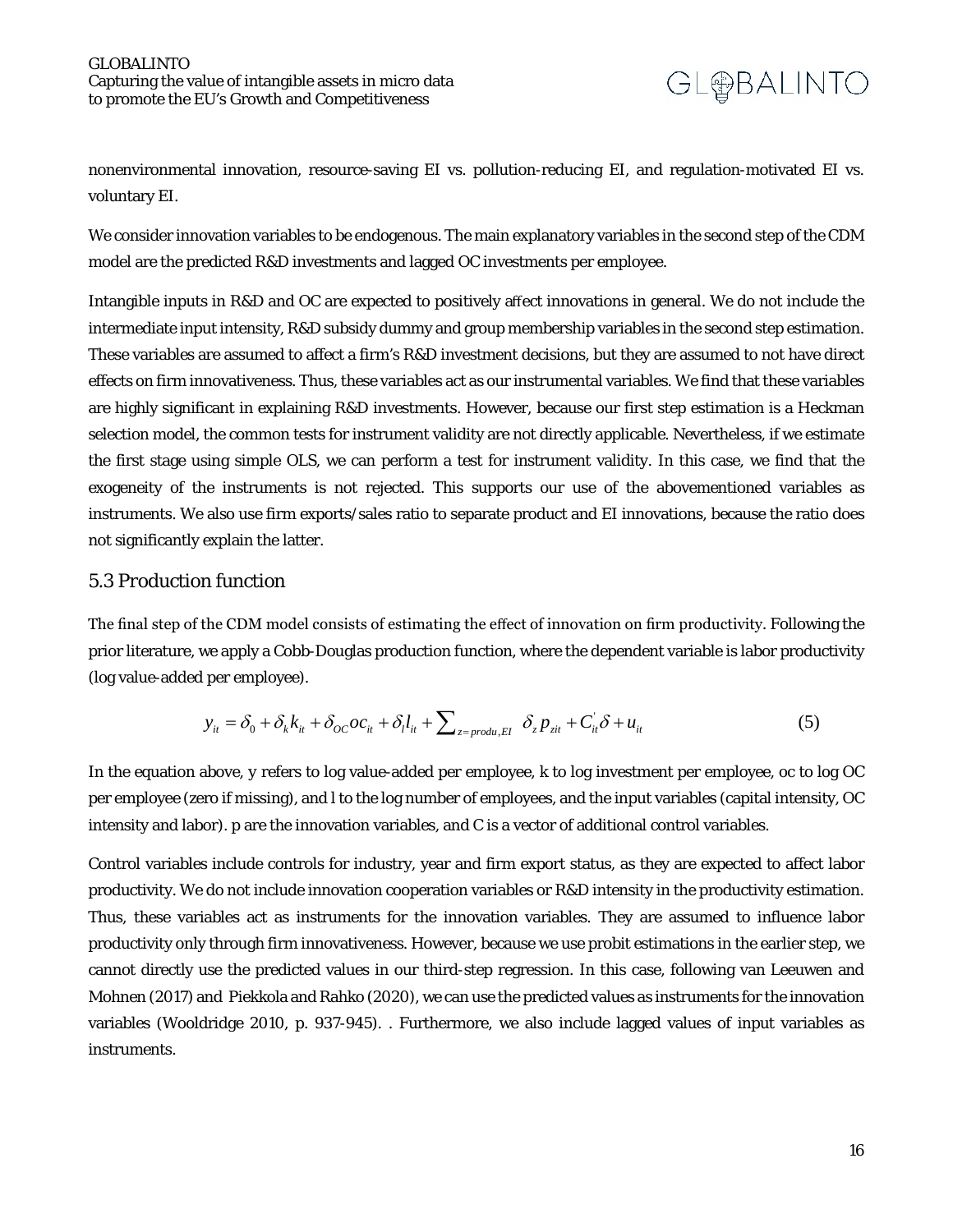

nonenvironmental innovation, resource-saving EI vs. pollution-reducing EI, and regulation-motivated EI vs. voluntary EI.

We consider innovation variables to be endogenous. The main explanatory variables in the second step of the CDM model are the predicted R&D investments and lagged OC investments per employee.

Intangible inputs in R&D and OC are expected to positively affect innovations in general. We do not include the intermediate input intensity, R&D subsidy dummy and group membership variables in the second step estimation. These variables are assumed to affect a firm's R&D investment decisions, but they are assumed to not have direct effects on firm innovativeness. Thus, these variables act as our instrumental variables. We find that these variables are highly significant in explaining R&D investments. However, because our first step estimation is a Heckman selection model, the common tests for instrument validity are not directly applicable. Nevertheless, if we estimate the first stage using simple OLS, we can perform a test for instrument validity. In this case, we find that the exogeneity of the instruments is not rejected. This supports our use of the abovementioned variables as instruments. We also use firm exports/sales ratio to separate product and EI innovations, because the ratio does not significantly explain the latter.

#### *5.3 Production function*

The final step of the CDM model consists of estimating the effect of innovation on firm productivity. Following the prior literature, we apply a Cobb-Douglas production function, where the dependent variable is labor productivity (log value-added per employee).

$$
y_{it} = \delta_0 + \delta_k k_{it} + \delta_{OC} oc_{it} + \delta_l l_{it} + \sum_{z = \text{produ, EI}} \delta_z p_{zit} + C_{it} \delta + u_{it}
$$
(5)

In the equation above, *y* refers to log value-added per employee, *k* to log investment per employee, oc to log OC per employee (zero if missing), and *l* to the log number of employees, and the input variables (capital intensity, OC intensity and labor). *p* are the innovation variables, and *C* is a vector of additional control variables.

Control variables include controls for industry, year and firm export status, as they are expected to affect labor productivity. We do not include innovation cooperation variables or R&D intensity in the productivity estimation. Thus, these variables act as instruments for the innovation variables. They are assumed to influence labor productivity only through firm innovativeness. However, because we use probit estimations in the earlier step, we cannot directly use the predicted values in our third-step regression. In this case, following van Leeuwen and Mohnen (2017) and Piekkola and Rahko (2020), we can use the predicted values as instruments for the innovation variables (Wooldridge 2010, p. 937-945). . Furthermore, we also include lagged values of input variables as instruments.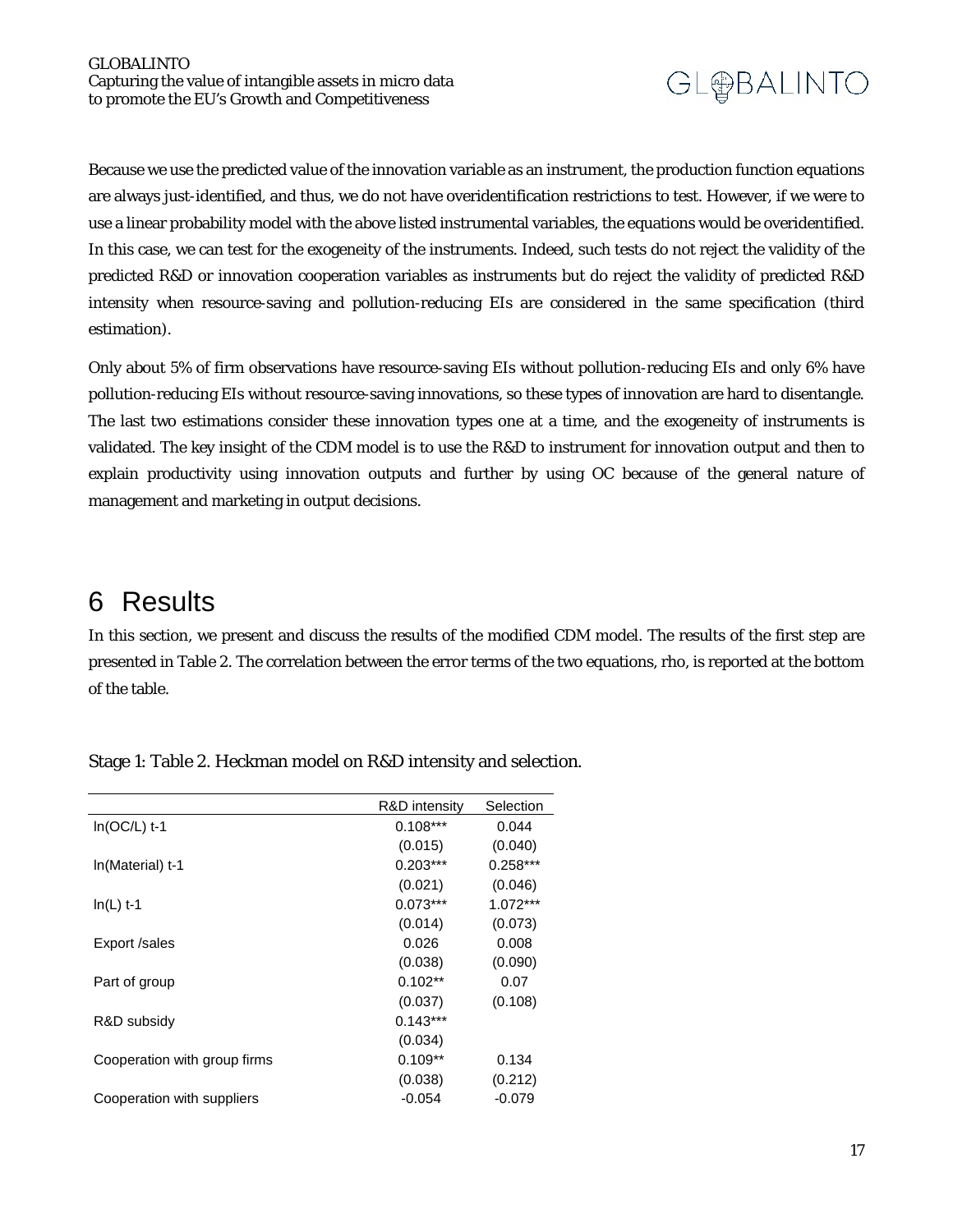Because we use the predicted value of the innovation variable as an instrument, the production function equations are always just-identified, and thus, we do not have overidentification restrictions to test. However, if we were to use a linear probability model with the above listed instrumental variables, the equations would be overidentified. In this case, we can test for the exogeneity of the instruments. Indeed, such tests do not reject the validity of the predicted R&D or innovation cooperation variables as instruments but do reject the validity of predicted R&D intensity when resource-saving and pollution-reducing EIs are considered in the same specification (third estimation).

Only about 5% of firm observations have resource-saving EIs without pollution-reducing EIs and only 6% have pollution-reducing EIs without resource-saving innovations, so these types of innovation are hard to disentangle. The last two estimations consider these innovation types one at a time, and the exogeneity of instruments is validated. The key insight of the CDM model is to use the R&D to instrument for innovation output and then to explain productivity using innovation outputs and further by using OC because of the general nature of management and marketing in output decisions.

### <span id="page-16-0"></span>6 Results

In this section, we present and discuss the results of the modified CDM model. The results of the first step are presented in Table 2. The correlation between the error terms of the two equations, rho, is reported at the bottom of the table.

|                              | R&D intensity | Selection  |
|------------------------------|---------------|------------|
| $In(OC/L)$ t-1               | $0.108***$    | 0.044      |
|                              | (0.015)       | (0.040)    |
| In(Material) t-1             | $0.203***$    | $0.258***$ |
|                              | (0.021)       | (0.046)    |
| $In(L)$ t-1                  | $0.073***$    | 1.072***   |
|                              | (0.014)       | (0.073)    |
| Export /sales                | 0.026         | 0.008      |
|                              | (0.038)       | (0.090)    |
| Part of group                | $0.102**$     | 0.07       |
|                              | (0.037)       | (0.108)    |
| R&D subsidy                  | $0.143***$    |            |
|                              | (0.034)       |            |
| Cooperation with group firms | $0.109**$     | 0.134      |
|                              | (0.038)       | (0.212)    |
| Cooperation with suppliers   | $-0.054$      | $-0.079$   |

Stage 1: Table 2. Heckman model on R&D intensity and selection.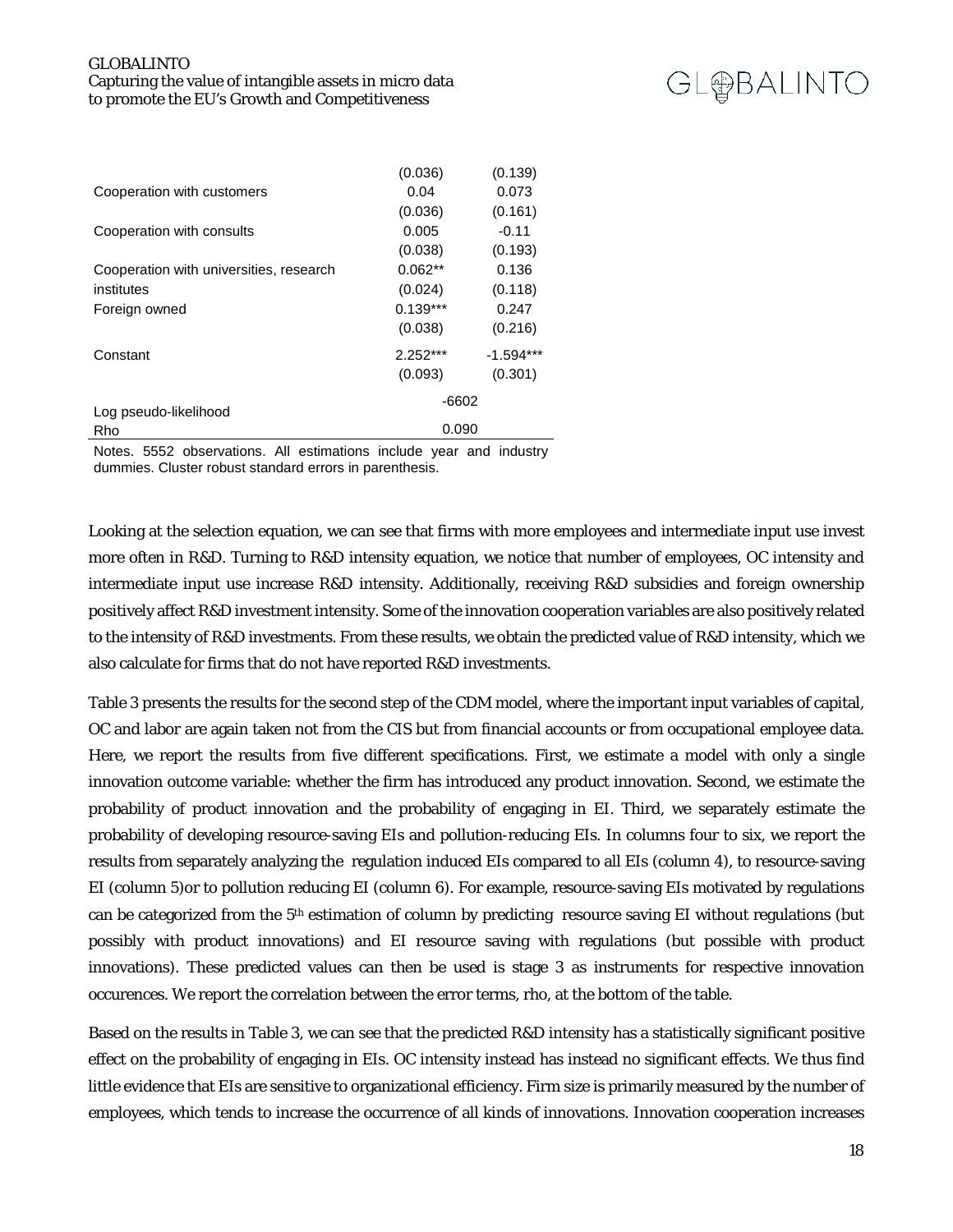

|                                         | (0.036)    | (0.139)     |  |  |
|-----------------------------------------|------------|-------------|--|--|
| Cooperation with customers              | 0.04       | 0.073       |  |  |
|                                         | (0.036)    | (0.161)     |  |  |
| Cooperation with consults               | 0.005      | $-0.11$     |  |  |
|                                         | (0.038)    | (0.193)     |  |  |
| Cooperation with universities, research | $0.062**$  | 0.136       |  |  |
| institutes                              | (0.024)    | (0.118)     |  |  |
| Foreign owned                           | $0.139***$ | 0.247       |  |  |
|                                         | (0.038)    | (0.216)     |  |  |
| Constant                                | $2.252***$ | $-1.594***$ |  |  |
|                                         | (0.093)    | (0.301)     |  |  |
|                                         | $-6602$    |             |  |  |
| Log pseudo-likelihood<br>Rho            | 0.090      |             |  |  |
|                                         |            |             |  |  |

Notes. 5552 observations. All estimations include year and industry dummies. Cluster robust standard errors in parenthesis.

Looking at the selection equation, we can see that firms with more employees and intermediate input use invest more often in R&D. Turning to R&D intensity equation, we notice that number of employees, OC intensity and intermediate input use increase R&D intensity. Additionally, receiving R&D subsidies and foreign ownership positively affect R&D investment intensity. Some of the innovation cooperation variables are also positively related to the intensity of R&D investments. From these results, we obtain the predicted value of R&D intensity, which we also calculate for firms that do not have reported R&D investments.

Table 3 presents the results for the second step of the CDM model, where the important input variables of capital, OC and labor are again taken not from the CIS but from financial accounts or from occupational employee data. Here, we report the results from five different specifications. First, we estimate a model with only a single innovation outcome variable: whether the firm has introduced any product innovation. Second, we estimate the probability of product innovation and the probability of engaging in EI. Third, we separately estimate the probability of developing resource-saving EIs and pollution-reducing EIs. In columns four to six, we report the results from separately analyzing the regulation induced EIs compared to all EIs (column 4), to resource-saving EI (column 5)or to pollution reducing EI (column 6). For example, resource-saving EIs motivated by regulations can be categorized from the 5th estimation of column by predicting resource saving EI without regulations (but possibly with product innovations) and EI resource saving with regulations (but possible with product innovations). These predicted values can then be used is stage 3 as instruments for respective innovation occurences. We report the correlation between the error terms, rho, at the bottom of the table.

Based on the results in Table 3, we can see that the predicted R&D intensity has a statistically significant positive effect on the probability of engaging in EIs. OC intensity instead has instead no significant effects. We thus find little evidence that EIs are sensitive to organizational efficiency. Firm size is primarily measured by the number of employees, which tends to increase the occurrence of all kinds of innovations. Innovation cooperation increases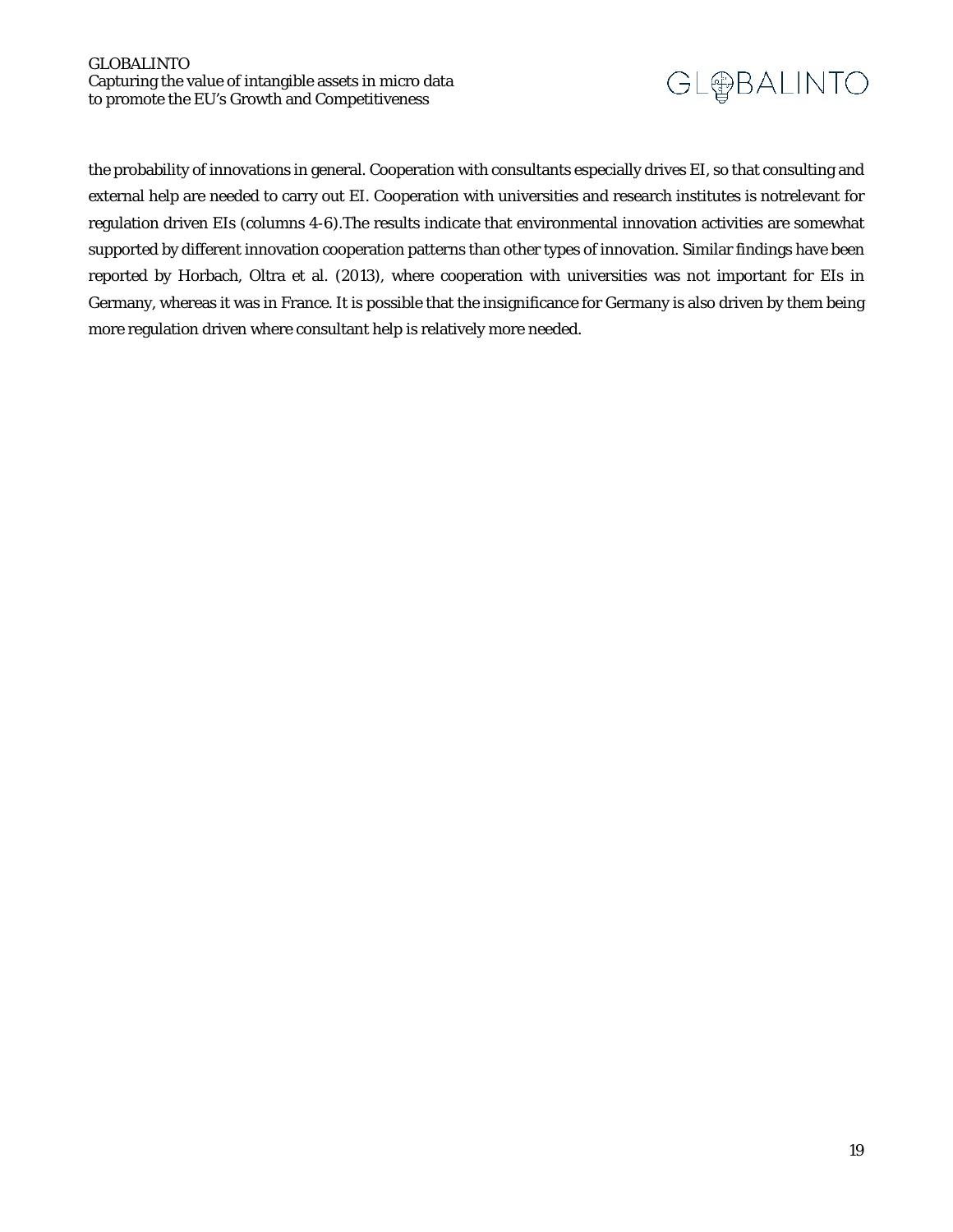

the probability of innovations in general. Cooperation with consultants especially drives EI, so that consulting and external help are needed to carry out EI. Cooperation with universities and research institutes is notrelevant for regulation driven EIs (columns 4-6).The results indicate that environmental innovation activities are somewhat supported by different innovation cooperation patterns than other types of innovation. Similar findings have been reported by Horbach, Oltra et al. (2013), where cooperation with universities was not important for EIs in Germany, whereas it was in France. It is possible that the insignificance for Germany is also driven by them being more regulation driven where consultant help is relatively more needed.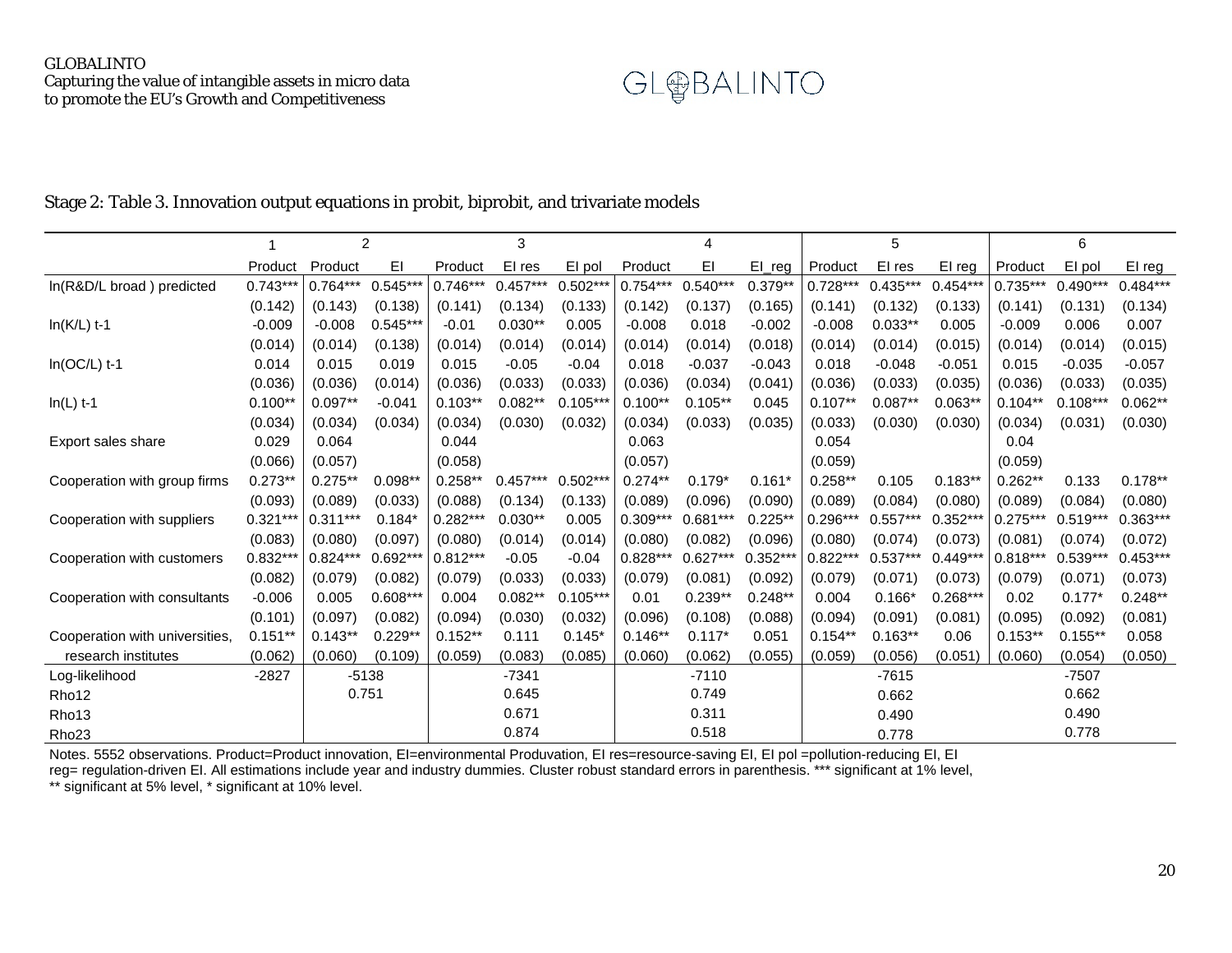

#### Stage 2: Table 3. Innovation output equations in probit, biprobit, and trivariate models

|                                |            |            | $\boldsymbol{2}$ |            | 3          |            |            | 4          |            |            | 5          |            |            | 6          |            |
|--------------------------------|------------|------------|------------------|------------|------------|------------|------------|------------|------------|------------|------------|------------|------------|------------|------------|
|                                | Product    | Product    | EI               | Product    | EI res     | El pol     | Product    | EI         | $El_{reg}$ | Product    | EI res     | El reg     | Product    | El pol     | El reg     |
| In(R&D/L broad) predicted      | $0.743***$ | $0.764***$ | $0.545**$        | $0.746***$ | $0.457***$ | $0.502**$  | $0.754***$ | $0.540***$ | $0.379**$  | $0.728***$ | $0.435***$ | $0.454***$ | $0.735***$ | $0.490***$ | $0.484***$ |
|                                | (0.142)    | (0.143)    | (0.138)          | (0.141)    | (0.134)    | (0.133)    | (0.142)    | (0.137)    | (0.165)    | (0.141)    | (0.132)    | (0.133)    | (0.141)    | (0.131)    | (0.134)    |
| $In(K/L)$ t-1                  | $-0.009$   | $-0.008$   | $0.545***$       | $-0.01$    | $0.030**$  | 0.005      | $-0.008$   | 0.018      | $-0.002$   | $-0.008$   | $0.033**$  | 0.005      | $-0.009$   | 0.006      | 0.007      |
|                                | (0.014)    | (0.014)    | (0.138)          | (0.014)    | (0.014)    | (0.014)    | (0.014)    | (0.014)    | (0.018)    | (0.014)    | (0.014)    | (0.015)    | (0.014)    | (0.014)    | (0.015)    |
| $In(OC/L)$ t-1                 | 0.014      | 0.015      | 0.019            | 0.015      | $-0.05$    | $-0.04$    | 0.018      | $-0.037$   | $-0.043$   | 0.018      | $-0.048$   | $-0.051$   | 0.015      | $-0.035$   | $-0.057$   |
|                                | (0.036)    | (0.036)    | (0.014)          | (0.036)    | (0.033)    | (0.033)    | (0.036)    | (0.034)    | (0.041)    | (0.036)    | (0.033)    | (0.035)    | (0.036)    | (0.033)    | (0.035)    |
| $In(L)$ t-1                    | $0.100**$  | $0.097**$  | $-0.041$         | $0.103**$  | $0.082**$  | $0.105**$  | $0.100**$  | $0.105**$  | 0.045      | $0.107**$  | $0.087**$  | $0.063**$  | $0.104**$  | $0.108***$ | $0.062**$  |
|                                | (0.034)    | (0.034)    | (0.034)          | (0.034)    | (0.030)    | (0.032)    | (0.034)    | (0.033)    | (0.035)    | (0.033)    | (0.030)    | (0.030)    | (0.034)    | (0.031)    | (0.030)    |
| Export sales share             | 0.029      | 0.064      |                  | 0.044      |            |            | 0.063      |            |            | 0.054      |            |            | 0.04       |            |            |
|                                | (0.066)    | (0.057)    |                  | (0.058)    |            |            | (0.057)    |            |            | (0.059)    |            |            | (0.059)    |            |            |
| Cooperation with group firms   | $0.273**$  | $0.275**$  | $0.098**$        | $0.258**$  | 0.457      | $0.502***$ | $0.274**$  | $0.179*$   | $0.161*$   | $0.258**$  | 0.105      | $0.183**$  | $0.262**$  | 0.133      | $0.178**$  |
|                                | (0.093)    | (0.089)    | (0.033)          | (0.088)    | (0.134)    | (0.133)    | (0.089)    | (0.096)    | (0.090)    | (0.089)    | (0.084)    | (0.080)    | (0.089)    | (0.084)    | (0.080)    |
| Cooperation with suppliers     | $0.321***$ | $0.311***$ | $0.184*$         | $0.282***$ | $0.030**$  | 0.005      | $0.309***$ | $0.681***$ | $0.225**$  | $0.296***$ | $0.557***$ | $0.352**$  | $0.275**$  | $0.519***$ | 0.363***   |
|                                | (0.083)    | (0.080)    | (0.097)          | (0.080)    | (0.014)    | (0.014)    | (0.080)    | (0.082)    | (0.096)    | (0.080)    | (0.074)    | (0.073)    | (0.081)    | (0.074)    | (0.072)    |
| Cooperation with customers     | $0.832***$ | $0.824***$ | $0.692***$       | $0.812***$ | $-0.05$    | $-0.04$    | $0.828***$ | $0.627***$ | $0.352***$ | $0.822***$ | $0.537***$ | $0.449***$ | $0.818***$ | $0.539***$ | $0.453***$ |
|                                | (0.082)    | (0.079)    | (0.082)          | (0.079)    | (0.033)    | (0.033)    | (0.079)    | (0.081)    | (0.092)    | (0.079)    | (0.071)    | (0.073)    | (0.079)    | (0.071)    | (0.073)    |
| Cooperation with consultants   | $-0.006$   | 0.005      | $0.608***$       | 0.004      | $0.082**$  | $0.105***$ | 0.01       | $0.239**$  | $0.248**$  | 0.004      | $0.166*$   | $0.268***$ | 0.02       | $0.177*$   | $0.248**$  |
|                                | (0.101)    | (0.097)    | (0.082)          | (0.094)    | (0.030)    | (0.032)    | (0.096)    | (0.108)    | (0.088)    | (0.094)    | (0.091)    | (0.081)    | (0.095)    | (0.092)    | (0.081)    |
| Cooperation with universities, | $0.151**$  | $0.143**$  | $0.229**$        | $0.152**$  | 0.111      | 0.145'     | $0.146**$  | $0.117*$   | 0.051      | $0.154**$  | $0.163**$  | 0.06       | $0.153**$  | $0.155**$  | 0.058      |
| research institutes            | (0.062)    | (0.060)    | (0.109)          | (0.059)    | (0.083)    | (0.085)    | (0.060)    | (0.062)    | (0.055)    | (0.059)    | (0.056)    | (0.051)    | (0.060)    | (0.054)    | (0.050)    |
| Log-likelihood                 | $-2827$    |            | $-5138$          |            | $-7341$    |            |            | $-7110$    |            |            | $-7615$    |            |            | $-7507$    |            |
| Rho <sub>12</sub>              |            |            | 0.751            |            | 0.645      |            |            | 0.749      |            |            | 0.662      |            |            | 0.662      |            |
| Rho <sub>13</sub>              |            |            |                  |            | 0.671      |            |            | 0.311      |            |            | 0.490      |            |            | 0.490      |            |
| Rho <sub>23</sub>              |            |            |                  |            | 0.874      |            |            | 0.518      |            |            | 0.778      |            |            | 0.778      |            |

Notes. 5552 observations. Product=Product innovation, EI=environmental Produvation, EI res=resource-saving EI, EI pol =pollution-reducing EI, EI reg= regulation-driven EI. All estimations include year and industry dummies. Cluster robust standard errors in parenthesis. \*\*\* significant at 1% level, \*\* significant at 5% level, \* significant at 10% level.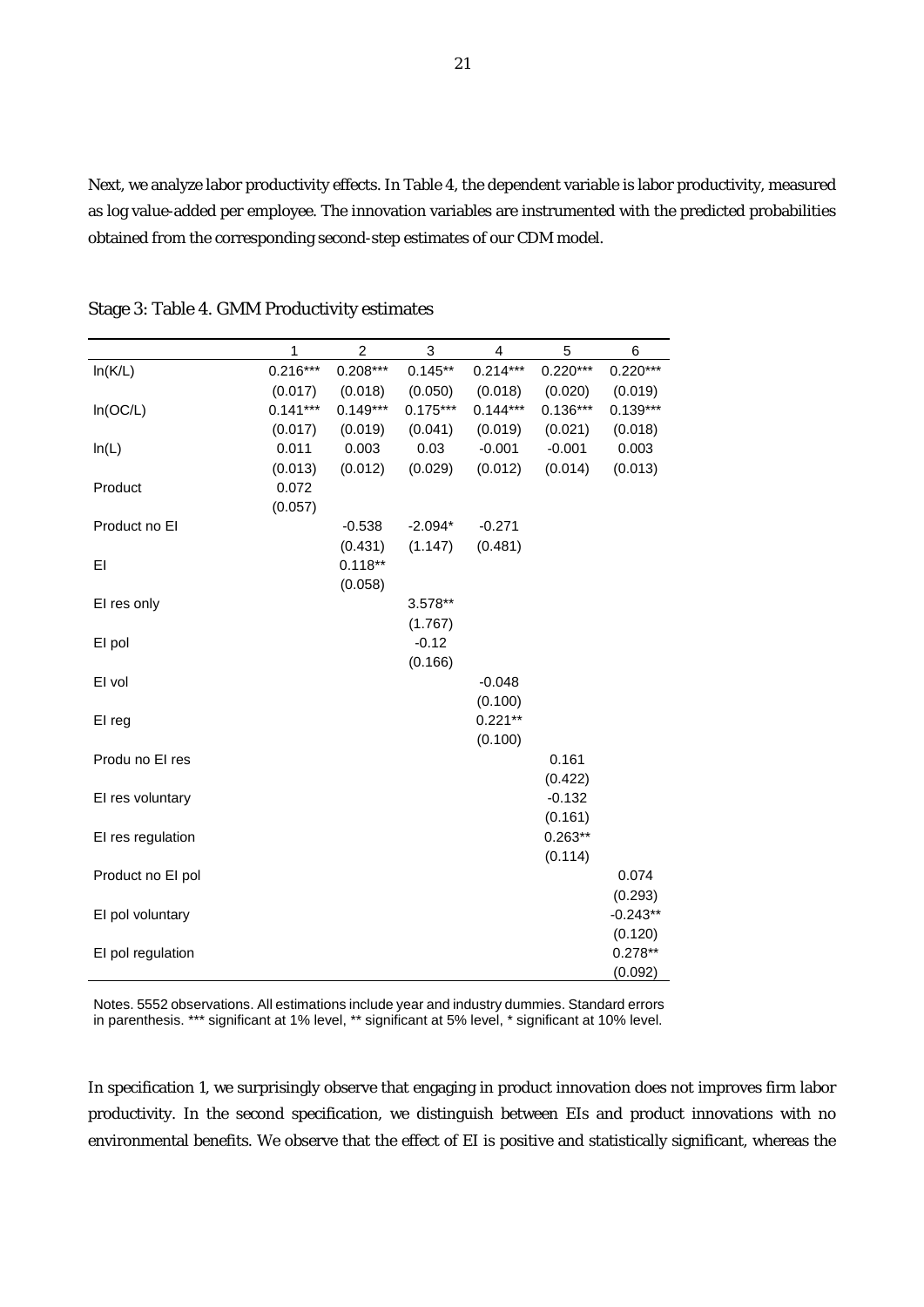Next, we analyze labor productivity effects. In Table 4, the dependent variable is labor productivity, measured as log value-added per employee. The innovation variables are instrumented with the predicted probabilities obtained from the corresponding second-step estimates of our CDM model.

|                                                                                                                                                      | 1          | $\overline{a}$ | 3                             | $\overline{\mathbf{4}}$                     | 5                                                               | 6                                                                 |
|------------------------------------------------------------------------------------------------------------------------------------------------------|------------|----------------|-------------------------------|---------------------------------------------|-----------------------------------------------------------------|-------------------------------------------------------------------|
| In(K/L)                                                                                                                                              | $0.216***$ | $0.208***$     | $0.145**$                     | $0.214***$                                  | $0.220***$                                                      | $0.220***$                                                        |
|                                                                                                                                                      | (0.017)    | (0.018)        | (0.050)                       | (0.018)                                     | (0.020)                                                         | (0.019)                                                           |
| In(OC/L)                                                                                                                                             | $0.141***$ | $0.149***$     | $0.175***$                    | $0.144***$                                  | $0.136***$                                                      | $0.139***$                                                        |
|                                                                                                                                                      | (0.017)    | (0.019)        | (0.041)                       | (0.019)                                     | (0.021)                                                         | (0.018)                                                           |
| ln(L)                                                                                                                                                | 0.011      | 0.003          | 0.03                          | $-0.001$                                    | $-0.001$                                                        | 0.003                                                             |
|                                                                                                                                                      | (0.013)    | (0.012)        | (0.029)                       | (0.012)                                     | (0.014)                                                         | (0.013)                                                           |
| Product                                                                                                                                              | 0.072      |                |                               |                                             |                                                                 |                                                                   |
|                                                                                                                                                      | (0.057)    |                |                               |                                             |                                                                 |                                                                   |
| Product no El                                                                                                                                        |            | $-0.538$       | $-2.094*$                     | $-0.271$                                    |                                                                 |                                                                   |
|                                                                                                                                                      |            | (0.431)        | (1.147)                       | (0.481)                                     |                                                                 |                                                                   |
| EI                                                                                                                                                   |            | $0.118**$      |                               |                                             |                                                                 |                                                                   |
|                                                                                                                                                      |            | (0.058)        |                               |                                             |                                                                 |                                                                   |
| EI res only                                                                                                                                          |            |                | 3.578**                       |                                             |                                                                 |                                                                   |
|                                                                                                                                                      |            |                |                               |                                             |                                                                 |                                                                   |
|                                                                                                                                                      |            |                |                               |                                             |                                                                 |                                                                   |
|                                                                                                                                                      |            |                |                               |                                             |                                                                 |                                                                   |
|                                                                                                                                                      |            |                |                               |                                             |                                                                 |                                                                   |
|                                                                                                                                                      |            |                |                               |                                             |                                                                 |                                                                   |
|                                                                                                                                                      |            |                |                               |                                             |                                                                 |                                                                   |
|                                                                                                                                                      |            |                |                               |                                             |                                                                 |                                                                   |
|                                                                                                                                                      |            |                |                               |                                             |                                                                 |                                                                   |
|                                                                                                                                                      |            |                |                               |                                             |                                                                 |                                                                   |
|                                                                                                                                                      |            |                |                               |                                             |                                                                 |                                                                   |
|                                                                                                                                                      |            |                |                               |                                             |                                                                 |                                                                   |
|                                                                                                                                                      |            |                |                               |                                             |                                                                 |                                                                   |
|                                                                                                                                                      |            |                |                               |                                             |                                                                 |                                                                   |
|                                                                                                                                                      |            |                |                               |                                             |                                                                 |                                                                   |
|                                                                                                                                                      |            |                |                               |                                             |                                                                 |                                                                   |
|                                                                                                                                                      |            |                |                               |                                             |                                                                 |                                                                   |
|                                                                                                                                                      |            |                |                               |                                             |                                                                 |                                                                   |
|                                                                                                                                                      |            |                |                               |                                             |                                                                 |                                                                   |
| El pol<br>EI vol<br>EI reg<br>Produ no El res<br>El res voluntary<br>EI res regulation<br>Product no El pol<br>EI pol voluntary<br>El pol regulation |            |                | (1.767)<br>$-0.12$<br>(0.166) | $-0.048$<br>(0.100)<br>$0.221**$<br>(0.100) | 0.161<br>(0.422)<br>$-0.132$<br>(0.161)<br>$0.263**$<br>(0.114) | 0.074<br>(0.293)<br>$-0.243**$<br>(0.120)<br>$0.278**$<br>(0.092) |

Stage 3: Table 4. GMM Productivity estimates

Notes. 5552 observations. All estimations include year and industry dummies. Standard errors in parenthesis. \*\*\* significant at 1% level, \*\* significant at 5% level, \* significant at 10% level.

In specification 1, we surprisingly observe that engaging in product innovation does not improves firm labor productivity. In the second specification, we distinguish between EIs and product innovations with no environmental benefits. We observe that the effect of EI is positive and statistically significant, whereas the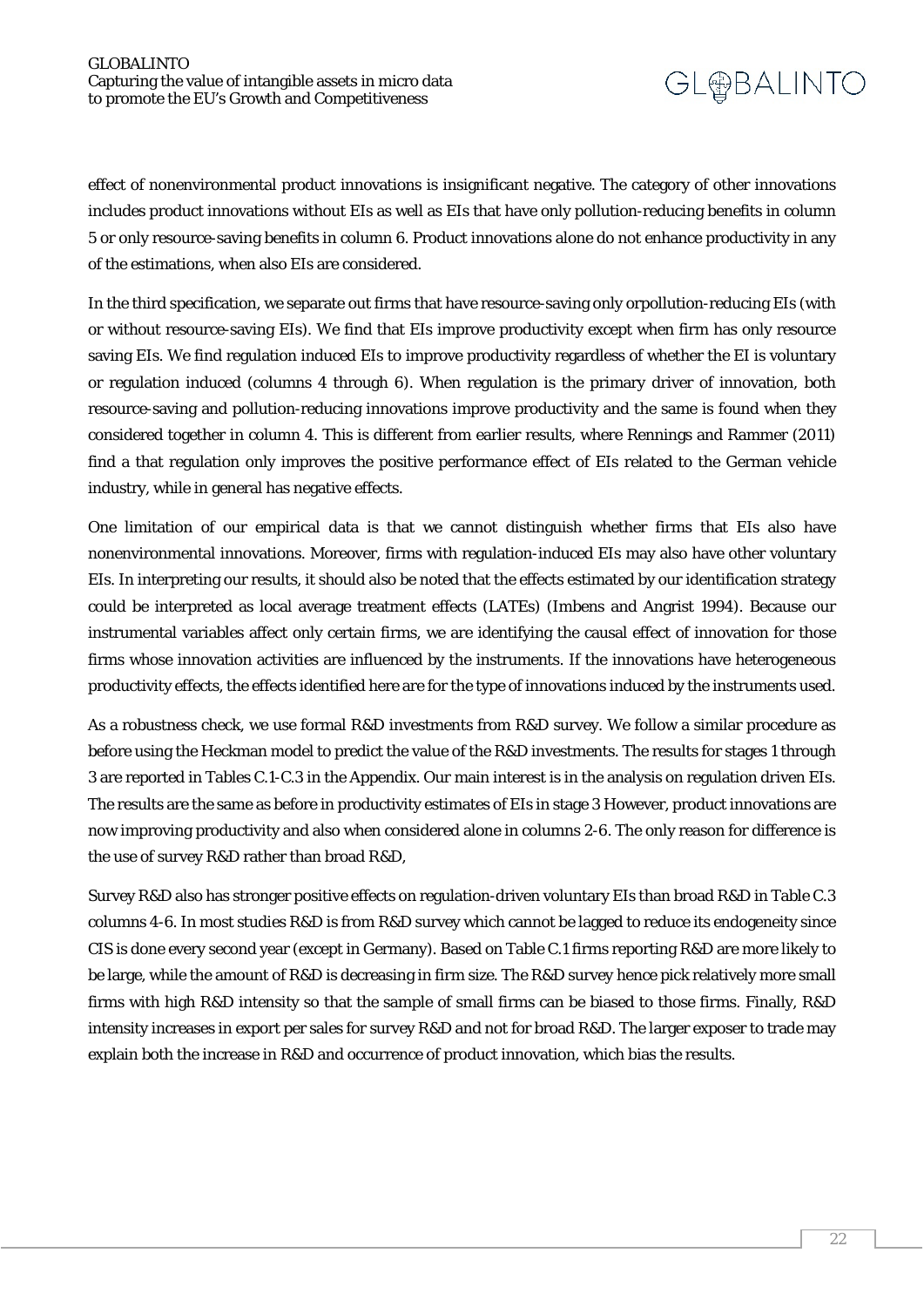effect of nonenvironmental product innovations is insignificant negative. The category of other innovations includes product innovations without EIs as well as EIs that have only pollution-reducing benefits in column 5 or only resource-saving benefits in column 6. Product innovations alone do not enhance productivity in any of the estimations, when also EIs are considered.

In the third specification, we separate out firms that have resource-saving only orpollution-reducing EIs (with or without resource-saving EIs). We find that EIs improve productivity except when firm has only resource saving EIs. We find regulation induced EIs to improve productivity regardless of whether the EI is voluntary or regulation induced (columns 4 through 6). When regulation is the primary driver of innovation, both resource-saving and pollution-reducing innovations improve productivity and the same is found when they considered together in column 4. This is different from earlier results, where Rennings and Rammer (2011) find a that regulation only improves the positive performance effect of EIs related to the German vehicle industry, while in general has negative effects.

One limitation of our empirical data is that we cannot distinguish whether firms that EIs also have nonenvironmental innovations. Moreover, firms with regulation-induced EIs may also have other voluntary EIs. In interpreting our results, it should also be noted that the effects estimated by our identification strategy could be interpreted as local average treatment effects (LATEs) (Imbens and Angrist 1994). Because our instrumental variables affect only certain firms, we are identifying the causal effect of innovation for those firms whose innovation activities are influenced by the instruments. If the innovations have heterogeneous productivity effects, the effects identified here are for the type of innovations induced by the instruments used.

As a robustness check, we use formal R&D investments from R&D survey. We follow a similar procedure as before using the Heckman model to predict the value of the R&D investments. The results for stages 1 through 3 are reported in Tables C.1-C.3 in the Appendix. Our main interest is in the analysis on regulation driven EIs. The results are the same as before in productivity estimates of EIs in stage 3 However, product innovations are now improving productivity and also when considered alone in columns 2-6. The only reason for difference is the use of survey R&D rather than broad R&D,

Survey R&D also has stronger positive effects on regulation-driven voluntary EIs than broad R&D in Table C.3 columns 4-6. In most studies R&D is from R&D survey which cannot be lagged to reduce its endogeneity since CIS is done every second year (except in Germany). Based on Table C.1 firms reporting R&D are more likely to be large, while the amount of R&D is decreasing in firm size. The R&D survey hence pick relatively more small firms with high R&D intensity so that the sample of small firms can be biased to those firms. Finally, R&D intensity increases in export per sales for survey R&D and not for broad R&D. The larger exposer to trade may explain both the increase in R&D and occurrence of product innovation, which bias the results.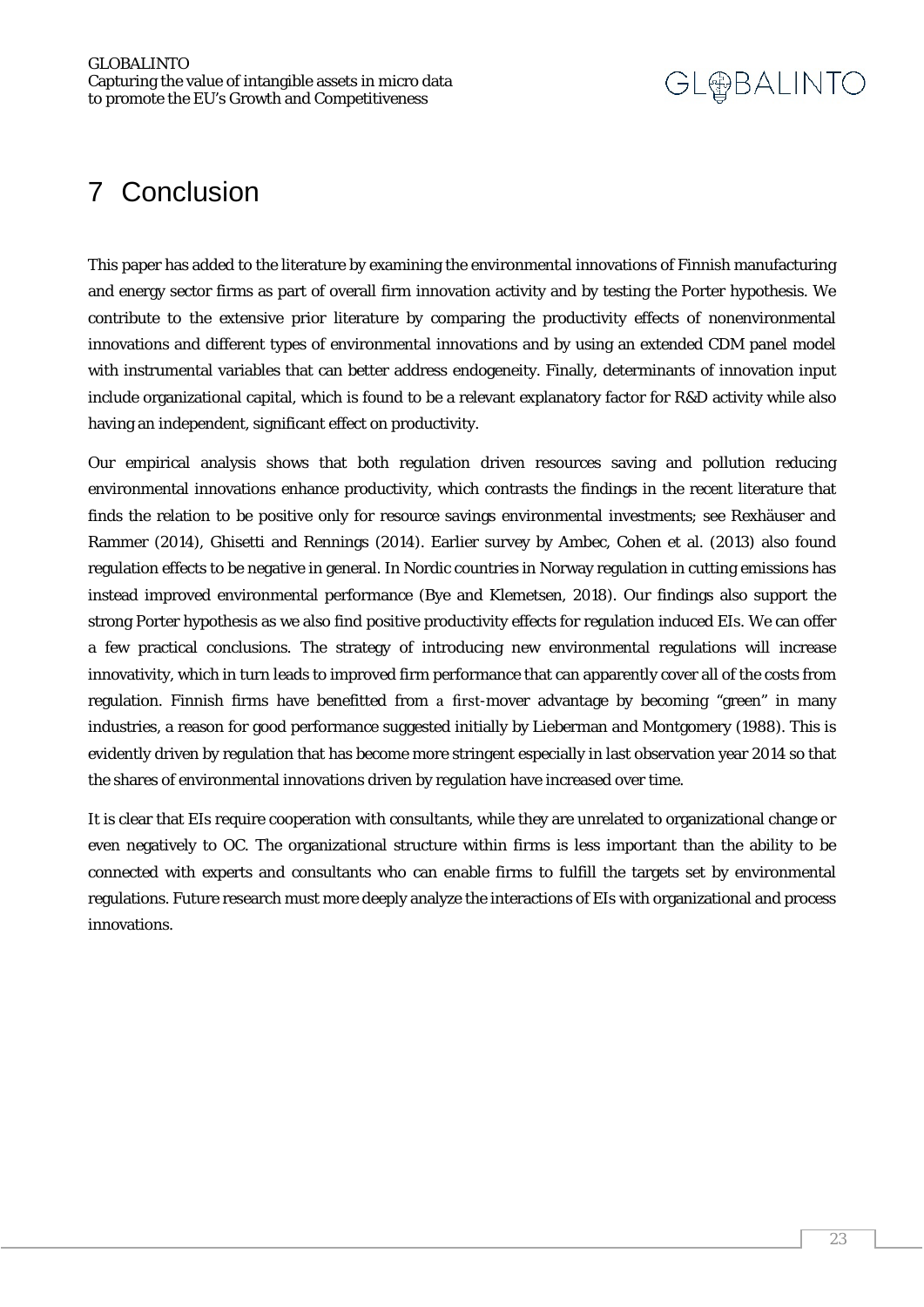### <span id="page-22-0"></span>7 Conclusion

This paper has added to the literature by examining the environmental innovations of Finnish manufacturing and energy sector firms as part of overall firm innovation activity and by testing the Porter hypothesis. We contribute to the extensive prior literature by comparing the productivity effects of nonenvironmental innovations and different types of environmental innovations and by using an extended CDM panel model with instrumental variables that can better address endogeneity. Finally, determinants of innovation input include organizational capital, which is found to be a relevant explanatory factor for R&D activity while also having an independent, significant effect on productivity.

Our empirical analysis shows that both regulation driven resources saving and pollution reducing environmental innovations enhance productivity, which contrasts the findings in the recent literature that finds the relation to be positive only for resource savings environmental investments; see Rexhäuser and Rammer (2014), Ghisetti and Rennings (2014). Earlier survey by Ambec, Cohen et al. (2013) also found regulation effects to be negative in general. In Nordic countries in Norway regulation in cutting emissions has instead improved environmental performance (Bye and Klemetsen, 2018). Our findings also support the strong Porter hypothesis as we also find positive productivity effects for regulation induced EIs. We can offer a few practical conclusions. The strategy of introducing new environmental regulations will increase innovativity, which in turn leads to improved firm performance that can apparently cover all of the costs from regulation. Finnish firms have benefitted from a first-mover advantage by becoming "green" in many industries, a reason for good performance suggested initially by Lieberman and Montgomery (1988). This is evidently driven by regulation that has become more stringent especially in last observation year 2014 so that the shares of environmental innovations driven by regulation have increased over time.

<span id="page-22-1"></span>It is clear that EIs require cooperation with consultants, while they are unrelated to organizational change or even negatively to OC. The organizational structure within firms is less important than the ability to be connected with experts and consultants who can enable firms to fulfill the targets set by environmental regulations. Future research must more deeply analyze the interactions of EIs with organizational and process innovations.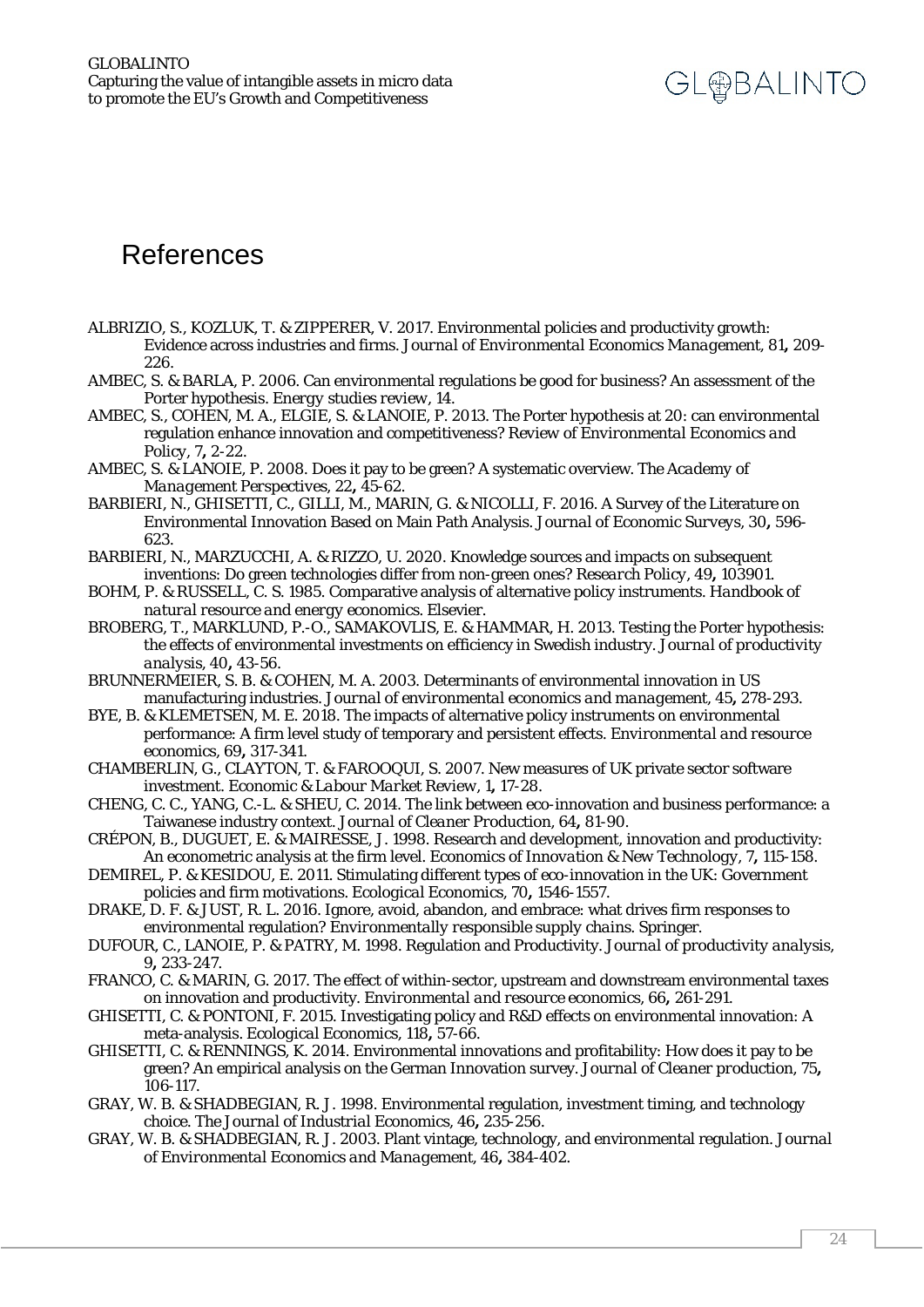### References

- ALBRIZIO, S., KOZLUK, T. & ZIPPERER, V. 2017. Environmental policies and productivity growth: Evidence across industries and firms. *Journal of Environmental Economics Management,* 81**,** 209- 226.
- AMBEC, S. & BARLA, P. 2006. Can environmental regulations be good for business? An assessment of the Porter hypothesis. *Energy studies review,* 14.
- AMBEC, S., COHEN, M. A., ELGIE, S. & LANOIE, P. 2013. The Porter hypothesis at 20: can environmental regulation enhance innovation and competitiveness? *Review of Environmental Economics and Policy,* 7**,** 2-22.
- AMBEC, S. & LANOIE, P. 2008. Does it pay to be green? A systematic overview. *The Academy of Management Perspectives,* 22**,** 45-62.
- BARBIERI, N., GHISETTI, C., GILLI, M., MARIN, G. & NICOLLI, F. 2016. A Survey of the Literature on Environmental Innovation Based on Main Path Analysis. *Journal of Economic Surveys,* 30**,** 596- 623.
- BARBIERI, N., MARZUCCHI, A. & RIZZO, U. 2020. Knowledge sources and impacts on subsequent inventions: Do green technologies differ from non-green ones? *Research Policy,* 49**,** 103901.
- BOHM, P. & RUSSELL, C. S. 1985. Comparative analysis of alternative policy instruments. *Handbook of natural resource and energy economics.* Elsevier.
- BROBERG, T., MARKLUND, P.-O., SAMAKOVLIS, E. & HAMMAR, H. 2013. Testing the Porter hypothesis: the effects of environmental investments on efficiency in Swedish industry. *Journal of productivity analysis,* 40**,** 43-56.
- BRUNNERMEIER, S. B. & COHEN, M. A. 2003. Determinants of environmental innovation in US manufacturing industries. *Journal of environmental economics and management,* 45**,** 278-293.
- BYE, B. & KLEMETSEN, M. E. 2018. The impacts of alternative policy instruments on environmental performance: A firm level study of temporary and persistent effects. *Environmental and resource economics,* 69**,** 317-341.
- CHAMBERLIN, G., CLAYTON, T. & FAROOQUI, S. 2007. New measures of UK private sector software investment. *Economic & Labour Market Review,* 1**,** 17-28.
- CHENG, C. C., YANG, C.-L. & SHEU, C. 2014. The link between eco-innovation and business performance: a Taiwanese industry context. *Journal of Cleaner Production,* 64**,** 81-90.
- CRÉPON, B., DUGUET, E. & MAIRESSE, J. 1998. Research and development, innovation and productivity: An econometric analysis at the firm level. *Economics of Innovation & New Technology,* 7**,** 115-158.
- DEMIREL, P. & KESIDOU, E. 2011. Stimulating different types of eco-innovation in the UK: Government policies and firm motivations. *Ecological Economics,* 70**,** 1546-1557.
- DRAKE, D. F. & JUST, R. L. 2016. Ignore, avoid, abandon, and embrace: what drives firm responses to environmental regulation? *Environmentally responsible supply chains.* Springer.
- DUFOUR, C., LANOIE, P. & PATRY, M. 1998. Regulation and Productivity. *Journal of productivity analysis,* 9**,** 233-247.
- FRANCO, C. & MARIN, G. 2017. The effect of within-sector, upstream and downstream environmental taxes on innovation and productivity. *Environmental and resource economics,* 66**,** 261-291.
- GHISETTI, C. & PONTONI, F. 2015. Investigating policy and R&D effects on environmental innovation: A meta-analysis. *Ecological Economics,* 118**,** 57-66.
- GHISETTI, C. & RENNINGS, K. 2014. Environmental innovations and profitability: How does it pay to be green? An empirical analysis on the German Innovation survey. *Journal of Cleaner production,* 75**,** 106-117.
- GRAY, W. B. & SHADBEGIAN, R. J. 1998. Environmental regulation, investment timing, and technology choice. *The Journal of Industrial Economics,* 46**,** 235-256.
- GRAY, W. B. & SHADBEGIAN, R. J. 2003. Plant vintage, technology, and environmental regulation. *Journal of Environmental Economics and Management,* 46**,** 384-402.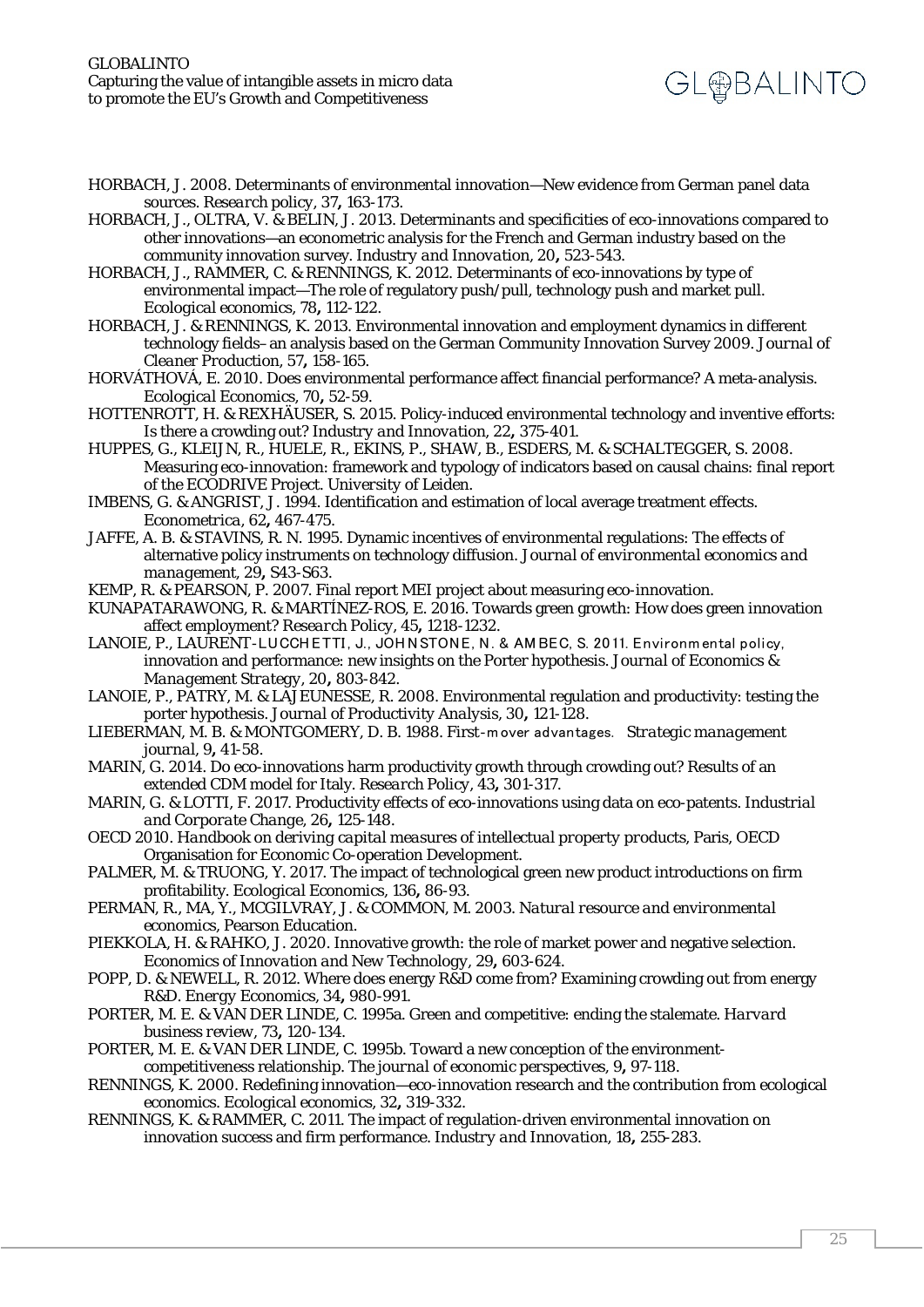- HORBACH, J. 2008. Determinants of environmental innovation—New evidence from German panel data sources. *Research policy,* 37**,** 163-173.
- HORBACH, J., OLTRA, V. & BELIN, J. 2013. Determinants and specificities of eco-innovations compared to other innovations—an econometric analysis for the French and German industry based on the community innovation survey. *Industry and Innovation,* 20**,** 523-543.
- HORBACH, J., RAMMER, C. & RENNINGS, K. 2012. Determinants of eco-innovations by type of environmental impact—The role of regulatory push/pull, technology push and market pull. *Ecological economics,* 78**,** 112-122.
- HORBACH, J. & RENNINGS, K. 2013. Environmental innovation and employment dynamics in different technology fields–an analysis based on the German Community Innovation Survey 2009. *Journal of Cleaner Production,* 57**,** 158-165.
- HORVÁTHOVÁ, E. 2010. Does environmental performance affect financial performance? A meta-analysis. *Ecological Economics,* 70**,** 52-59.
- HOTTENROTT, H. & REXHÄUSER, S. 2015. Policy-induced environmental technology and inventive efforts: Is there a crowding out? *Industry and Innovation,* 22**,** 375-401.
- HUPPES, G., KLEIJN, R., HUELE, R., EKINS, P., SHAW, B., ESDERS, M. & SCHALTEGGER, S. 2008. Measuring eco-innovation: framework and typology of indicators based on causal chains: final report of the ECODRIVE Project. *University of Leiden*.
- IMBENS, G. & ANGRIST, J. 1994. Identification and estimation of local average treatment effects. *Econometrica,* 62**,** 467-475.
- JAFFE, A. B. & STAVINS, R. N. 1995. Dynamic incentives of environmental regulations: The effects of alternative policy instruments on technology diffusion. *Journal of environmental economics and management,* 29**,** S43-S63.
- KEMP, R. & PEARSON, P. 2007. Final report MEI project about measuring eco-innovation.

KUNAPATARAWONG, R. & MARTÍNEZ-ROS, E. 2016. Towards green growth: How does green innovation affect employment? *Research Policy,* 45**,** 1218-1232.

- LANOIE, P., LAURENT-LUCCH ETTI, J., JOHNSTONE, N. & AMBEC, S. 2011. Environmental policy, innovation and performance: new insights on the Porter hypothesis. *Journal of Economics & Management Strategy,* 20**,** 803-842.
- LANOIE, P., PATRY, M. & LAJEUNESSE, R. 2008. Environmental regulation and productivity: testing the porter hypothesis. *Journal of Productivity Analysis,* 30**,** 121-128.
- LIEBERMAN, M. B. & MONTGOMERY, D. B. 1988. First‐mover advantages. *Strategic management journal,* 9**,** 41-58.
- MARIN, G. 2014. Do eco-innovations harm productivity growth through crowding out? Results of an extended CDM model for Italy. *Research Policy,* 43**,** 301-317.
- MARIN, G. & LOTTI, F. 2017. Productivity effects of eco-innovations using data on eco-patents. *Industrial and Corporate Change,* 26**,** 125-148.

OECD 2010. *Handbook on deriving capital measures of intellectual property products,* Paris, OECD Organisation for Economic Co-operation Development.

- PALMER, M. & TRUONG, Y. 2017. The impact of technological green new product introductions on firm profitability. *Ecological Economics,* 136**,** 86-93.
- PERMAN, R., MA, Y., MCGILVRAY, J. & COMMON, M. 2003. *Natural resource and environmental economics*, Pearson Education.
- PIEKKOLA, H. & RAHKO, J. 2020. Innovative growth: the role of market power and negative selection. *Economics of Innovation and New Technology,* 29**,** 603-624.
- POPP, D. & NEWELL, R. 2012. Where does energy R&D come from? Examining crowding out from energy R&D. *Energy Economics,* 34**,** 980-991.
- PORTER, M. E. & VAN DER LINDE, C. 1995a. Green and competitive: ending the stalemate. *Harvard business review,* 73**,** 120-134.
- PORTER, M. E. & VAN DER LINDE, C. 1995b. Toward a new conception of the environmentcompetitiveness relationship. *The journal of economic perspectives,* 9**,** 97-118.
- RENNINGS, K. 2000. Redefining innovation—eco-innovation research and the contribution from ecological economics. *Ecological economics,* 32**,** 319-332.
- RENNINGS, K. & RAMMER, C. 2011. The impact of regulation-driven environmental innovation on innovation success and firm performance. *Industry and Innovation,* 18**,** 255-283.

**GL@BALINTO**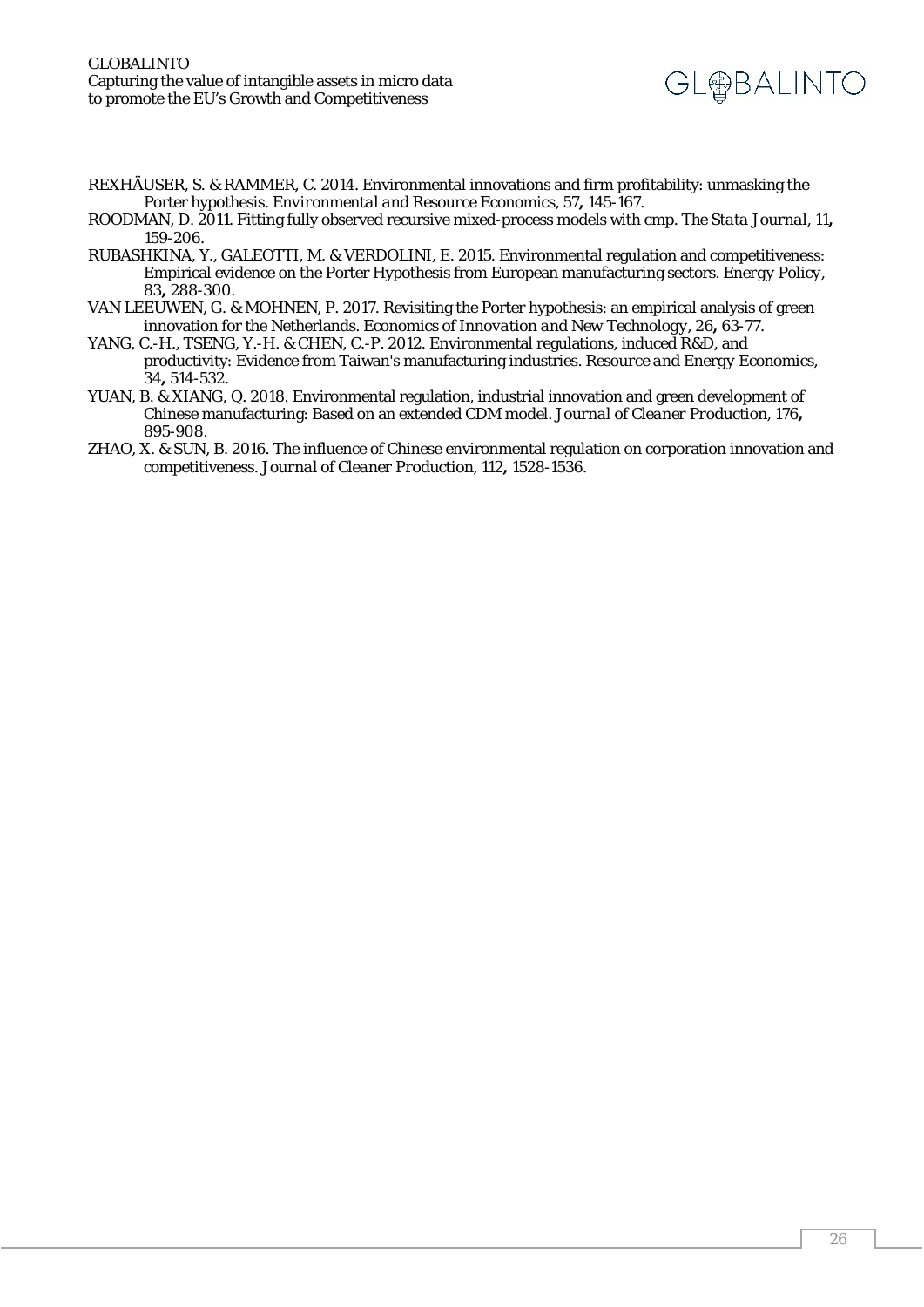

- REXHÄUSER, S. & RAMMER, C. 2014. Environmental innovations and firm profitability: unmasking the Porter hypothesis. *Environmental and Resource Economics,* 57**,** 145-167.
- ROODMAN, D. 2011. Fitting fully observed recursive mixed-process models with cmp. *The Stata Journal,* 11**,** 159-206.
- RUBASHKINA, Y., GALEOTTI, M. & VERDOLINI, E. 2015. Environmental regulation and competitiveness: Empirical evidence on the Porter Hypothesis from European manufacturing sectors. *Energy Policy,* 83**,** 288-300.
- VAN LEEUWEN, G. & MOHNEN, P. 2017. Revisiting the Porter hypothesis: an empirical analysis of green innovation for the Netherlands. *Economics of Innovation and New Technology,* 26**,** 63-77.
- YANG, C.-H., TSENG, Y.-H. & CHEN, C.-P. 2012. Environmental regulations, induced R&D, and productivity: Evidence from Taiwan's manufacturing industries. *Resource and Energy Economics,* 34**,** 514-532.
- YUAN, B. & XIANG, Q. 2018. Environmental regulation, industrial innovation and green development of Chinese manufacturing: Based on an extended CDM model. *Journal of Cleaner Production,* 176**,** 895-908.
- ZHAO, X. & SUN, B. 2016. The influence of Chinese environmental regulation on corporation innovation and competitiveness. *Journal of Cleaner Production,* 112**,** 1528-1536.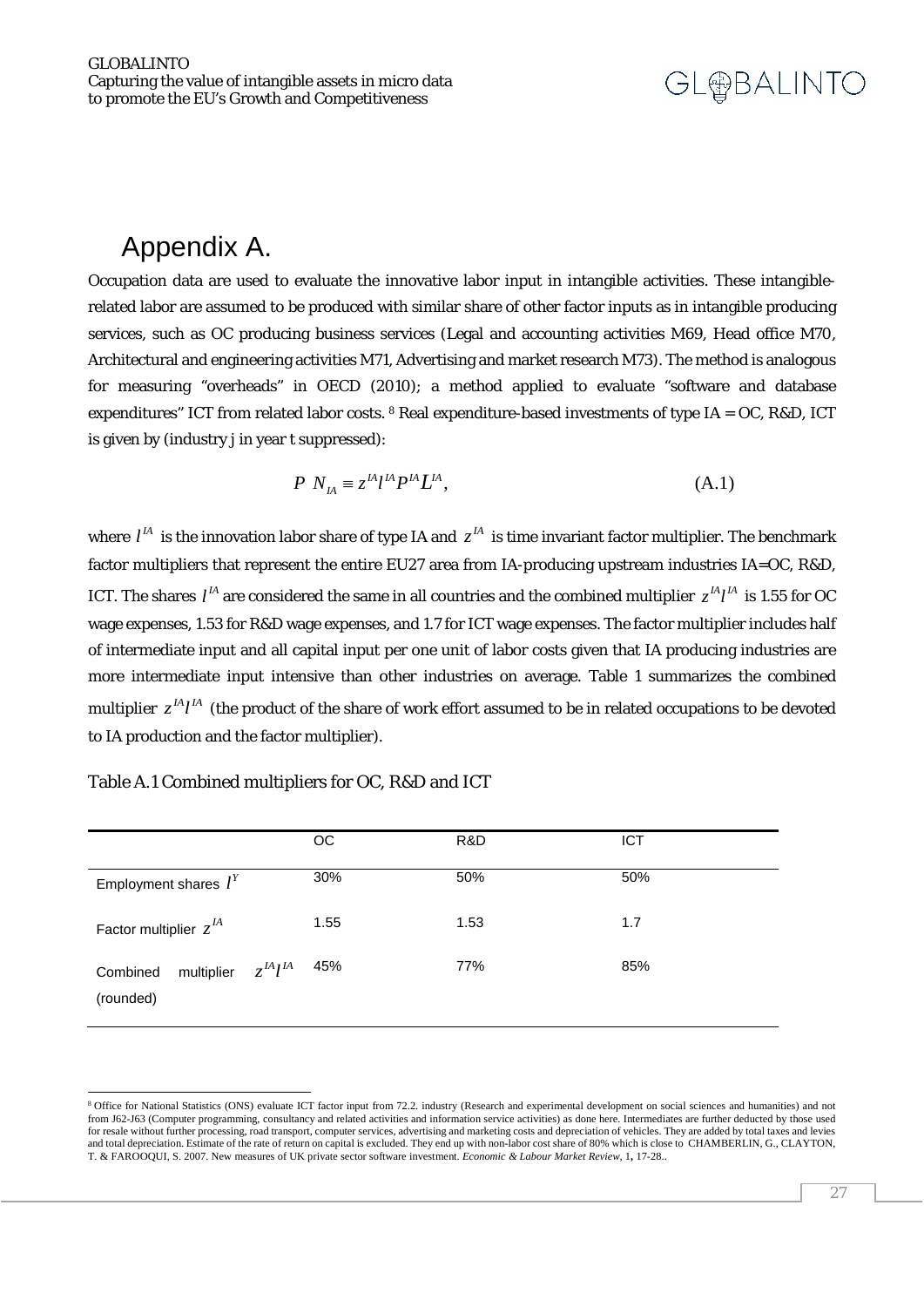### <span id="page-26-0"></span>Appendix A.

Occupation data are used to evaluate the innovative labor input in intangible activities. These intangiblerelated labor are assumed to be produced with similar share of other factor inputs as in intangible producing services, such as OC producing business services (Legal and accounting activities M69, Head office M70, Architectural and engineering activities M71, Advertising and market research M73). The method is analogous for measuring "overheads" in OECD (2010); a method applied to evaluate "software and database expenditures" ICT from related labor costs.  $8$  Real expenditure-based investments of type IA = OC, R&D, ICT is given by (industry j in year t suppressed):

$$
P N_{IA} \equiv z^{IA} l^A P^{IA} L^A, \tag{A.1}
$$

where  $l^{\prime A}$  is the innovation labor share of type IA and  $z^{\prime A}$  is time invariant factor multiplier. The benchmark factor multipliers that represent the entire EU27 area from IA-producing upstream industries IA=OC, R&D, ICT. The shares  $l^A$  are considered the same in all countries and the combined multiplier  $z^A l^A$  is 1.55 for OC wage expenses, 1.53 for R&D wage expenses, and 1.7 for ICT wage expenses. The factor multiplier includes half of intermediate input and all capital input per one unit of labor costs given that IA producing industries are more intermediate input intensive than other industries on average. Table 1 summarizes the combined multiplier  $z^{IA}l^A$  (the product of the share of work effort assumed to be in related occupations to be devoted to IA production and the factor multiplier).

|                                                    | OC.  | R&D  | <b>ICT</b> |
|----------------------------------------------------|------|------|------------|
| Employment shares $l^{Y}$                          | 30%  | 50%  | 50%        |
| Factor multiplier $z^{\prime A}$                   | 1.55 | 1.53 | 1.7        |
| multiplier $z^{IA}l^{IA}$<br>Combined<br>(rounded) | 45%  | 77%  | 85%        |

Table A.1 Combined multipliers for OC, R&D and ICT

-

<span id="page-26-1"></span><sup>8</sup> Office for National Statistics (ONS) evaluate ICT factor input from 72.2. industry (Research and experimental development on social sciences and humanities) and not from J62-J63 (Computer programming, consultancy and related activities and information service activities) as done here. Intermediates are further deducted by those used for resale without further processing, road transport, computer services, advertising and marketing costs and depreciation of vehicles. They are added by total taxes and levies and total depreciation. Estimate of the rate of return on capital is excluded. They end up with non-labor cost share of 80% which is close to CHAMBERLIN, G., CLAYTON, T. & FAROOQUI, S. 2007. New measures of UK private sector software investment. *Economic & Labour Market Review,* 1**,** 17-28..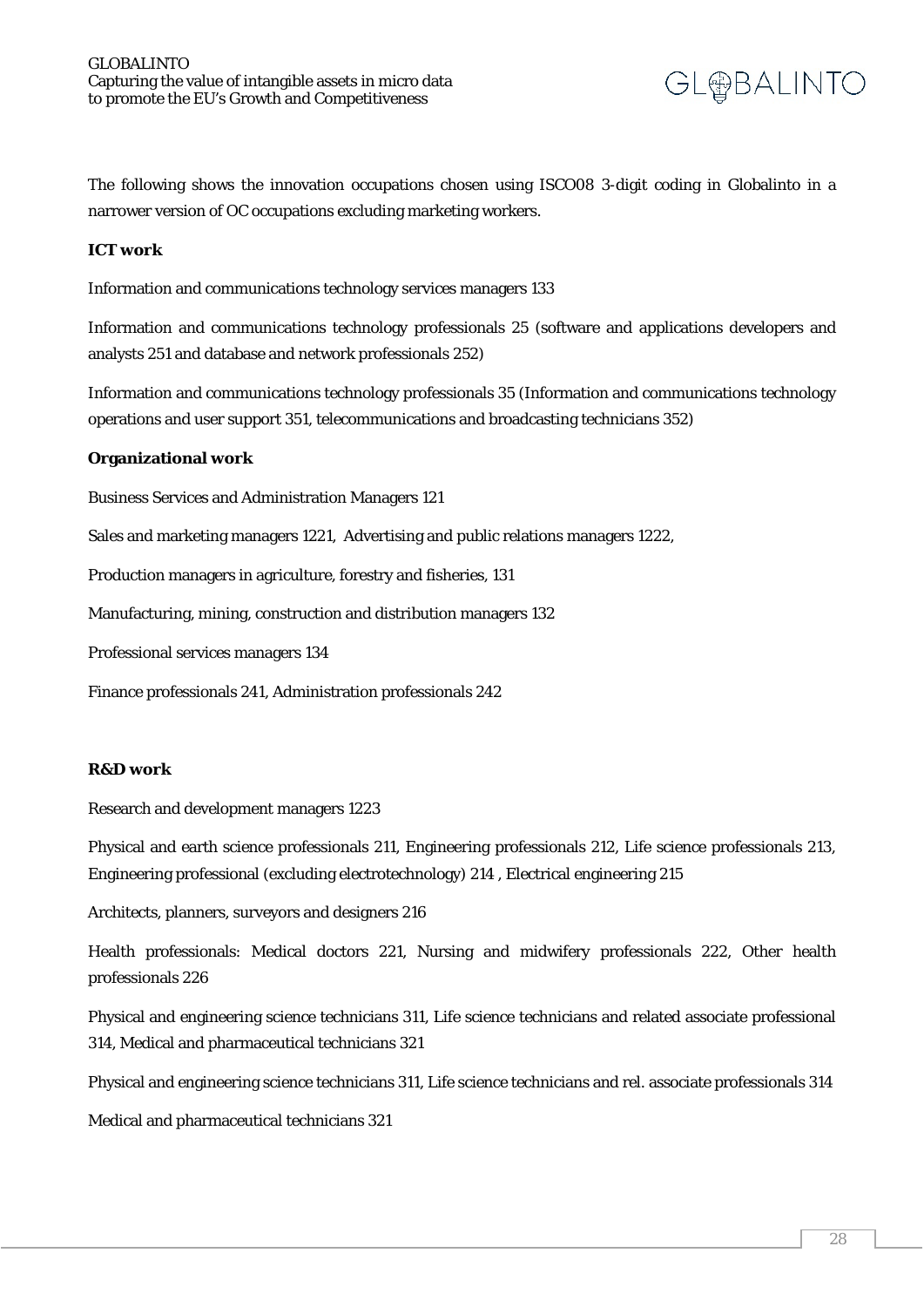

The following shows the innovation occupations chosen using ISCO08 3-digit coding in Globalinto in a narrower version of OC occupations excluding marketing workers.

#### **ICT work**

Information and communications technology services managers 133

Information and communications technology professionals 25 (software and applications developers and analysts 251 and database and network professionals 252)

Information and communications technology professionals 35 (Information and communications technology operations and user support 351, telecommunications and broadcasting technicians 352)

#### **Organizational work**

Business Services and Administration Managers 121

Sales and marketing managers 1221, Advertising and public relations managers 1222,

Production managers in agriculture, forestry and fisheries, 131

Manufacturing, mining, construction and distribution managers 132

Professional services managers 134

Finance professionals 241, Administration professionals 242

#### **R&D work**

Research and development managers 1223

Physical and earth science professionals 211, Engineering professionals 212, Life science professionals 213, Engineering professional (excluding electrotechnology) 214 , Electrical engineering 215

Architects, planners, surveyors and designers 216

Health professionals: Medical doctors 221, Nursing and midwifery professionals 222, Other health professionals 226

Physical and engineering science technicians 311, Life science technicians and related associate professional 314, Medical and pharmaceutical technicians 321

Physical and engineering science technicians 311, Life science technicians and rel. associate professionals 314

Medical and pharmaceutical technicians 321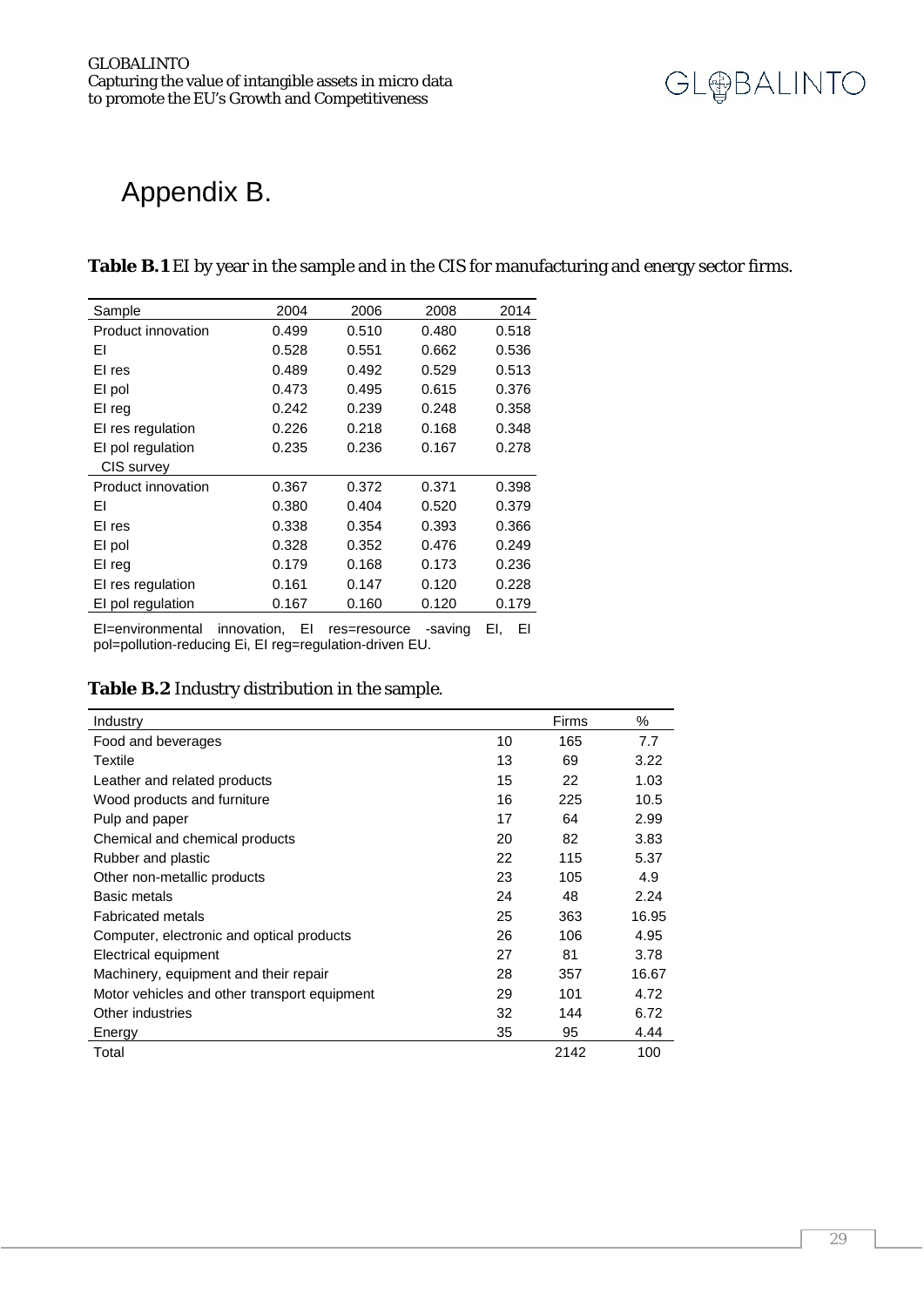

### <span id="page-28-0"></span>Appendix B.

#### **Table B.1** EI by year in the sample and in the CIS for manufacturing and energy sector firms.

| Sample             | 2004  | 2006  | 2008  | 2014  |
|--------------------|-------|-------|-------|-------|
| Product innovation | 0.499 | 0.510 | 0.480 | 0.518 |
| ΕI                 | 0.528 | 0.551 | 0.662 | 0.536 |
| EI res             | 0.489 | 0.492 | 0.529 | 0.513 |
| El pol             | 0.473 | 0.495 | 0.615 | 0.376 |
| El reg             | 0.242 | 0.239 | 0.248 | 0.358 |
| EI res regulation  | 0.226 | 0.218 | 0.168 | 0.348 |
| EI pol regulation  | 0.235 | 0.236 | 0.167 | 0.278 |
| CIS survey         |       |       |       |       |
| Product innovation | 0.367 | 0.372 | 0.371 | 0.398 |
| ΕI                 | 0.380 | 0.404 | 0.520 | 0.379 |
| EI res             | 0.338 | 0.354 | 0.393 | 0.366 |
| El pol             | 0.328 | 0.352 | 0.476 | 0.249 |
| El reg             | 0.179 | 0.168 | 0.173 | 0.236 |
| EI res regulation  | 0.161 | 0.147 | 0.120 | 0.228 |
| EI pol regulation  | 0.167 | 0.160 | 0.120 | 0.179 |

EI=environmental innovation, EI res=resource -saving EI, EI pol=pollution-reducing Ei, EI reg=regulation-driven EU.

#### **Table B.2** Industry distribution in the sample.

| Industry                                     |    | Firms | ℅     |
|----------------------------------------------|----|-------|-------|
| Food and beverages                           | 10 | 165   | 7.7   |
| Textile                                      | 13 | 69    | 3.22  |
| Leather and related products                 | 15 | 22    | 1.03  |
| Wood products and furniture                  | 16 | 225   | 10.5  |
| Pulp and paper                               | 17 | 64    | 2.99  |
| Chemical and chemical products               | 20 | 82    | 3.83  |
| Rubber and plastic                           | 22 | 115   | 5.37  |
| Other non-metallic products                  | 23 | 105   | 4.9   |
| <b>Basic metals</b>                          | 24 | 48    | 2.24  |
| <b>Fabricated metals</b>                     | 25 | 363   | 16.95 |
| Computer, electronic and optical products    | 26 | 106   | 4.95  |
| Electrical equipment                         | 27 | 81    | 3.78  |
| Machinery, equipment and their repair        | 28 | 357   | 16.67 |
| Motor vehicles and other transport equipment | 29 | 101   | 4.72  |
| Other industries                             | 32 | 144   | 6.72  |
| Energy                                       | 35 | 95    | 4.44  |
| Total                                        |    | 2142  | 100   |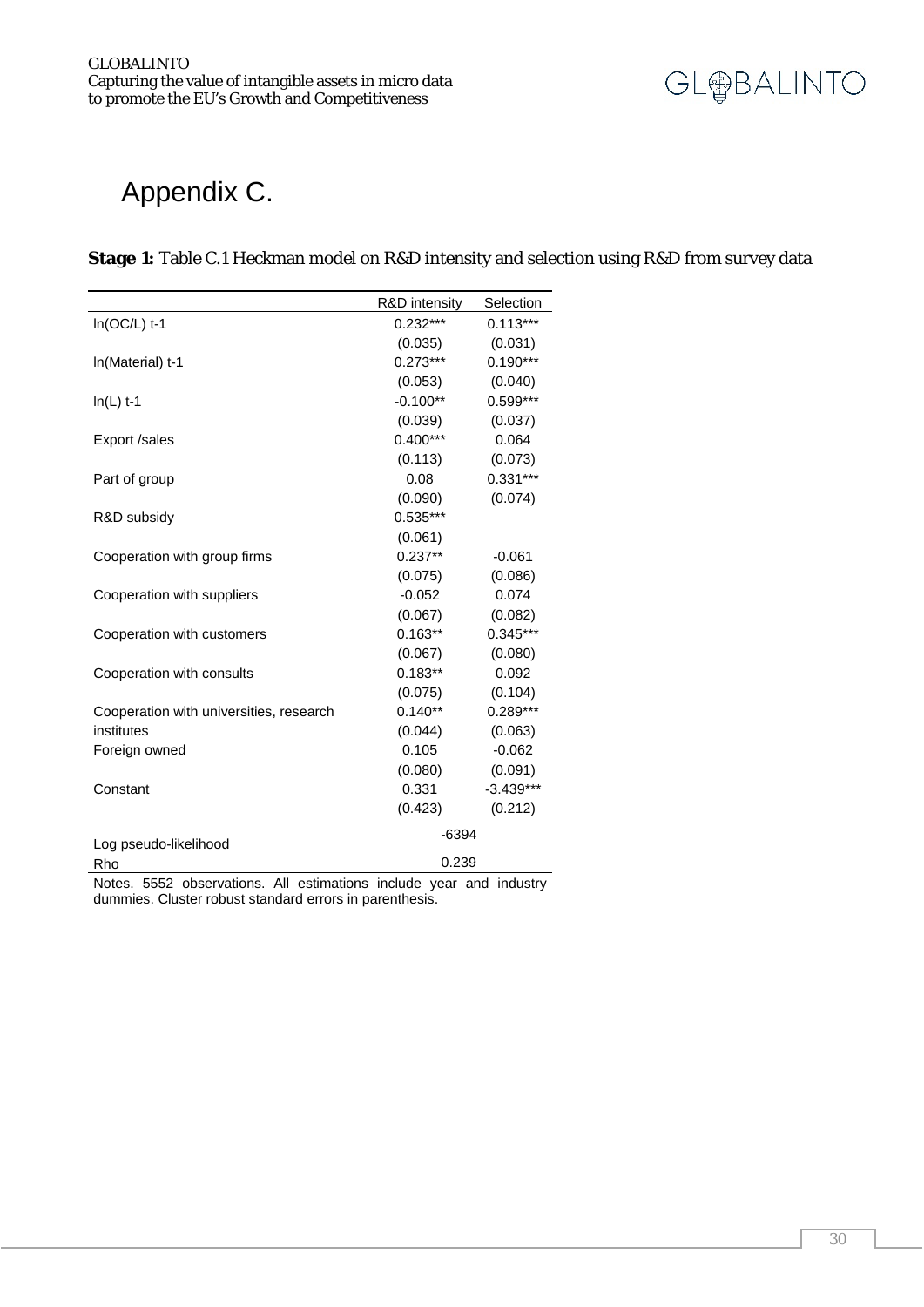

### <span id="page-29-0"></span>Appendix C.

#### **Stage 1:** Table C.1 Heckman model on R&D intensity and selection using R&D from survey data

|                                                                            | R&D intensity | Selection   |
|----------------------------------------------------------------------------|---------------|-------------|
| $In(OC/L)$ t-1                                                             | $0.232***$    | $0.113***$  |
|                                                                            | (0.035)       | (0.031)     |
| In(Material) t-1                                                           | $0.273***$    | $0.190***$  |
|                                                                            | (0.053)       | (0.040)     |
| $In(L)$ t-1                                                                | $-0.100**$    | 0.599***    |
|                                                                            | (0.039)       | (0.037)     |
| Export /sales                                                              | $0.400***$    | 0.064       |
|                                                                            | (0.113)       | (0.073)     |
| Part of group                                                              | 0.08          | $0.331***$  |
|                                                                            | (0.090)       | (0.074)     |
| R&D subsidy                                                                | $0.535***$    |             |
|                                                                            | (0.061)       |             |
| Cooperation with group firms                                               | $0.237**$     | $-0.061$    |
|                                                                            | (0.075)       | (0.086)     |
| Cooperation with suppliers                                                 | $-0.052$      | 0.074       |
|                                                                            | (0.067)       | (0.082)     |
| Cooperation with customers                                                 | $0.163**$     | $0.345***$  |
|                                                                            | (0.067)       | (0.080)     |
| Cooperation with consults                                                  | $0.183**$     | 0.092       |
|                                                                            | (0.075)       | (0.104)     |
| Cooperation with universities, research                                    | $0.140**$     | $0.289***$  |
| institutes                                                                 | (0.044)       | (0.063)     |
| Foreign owned                                                              | 0.105         | $-0.062$    |
|                                                                            | (0.080)       | (0.091)     |
| Constant                                                                   | 0.331         | $-3.439***$ |
|                                                                            | (0.423)       | (0.212)     |
|                                                                            | $-6394$       |             |
| Log pseudo-likelihood                                                      |               |             |
| Rho<br>Notes, EEE2 observations. All ostimations include year and industry | 0.239         |             |

Notes. 5552 observations. All estimations include year and industry dummies. Cluster robust standard errors in parenthesis.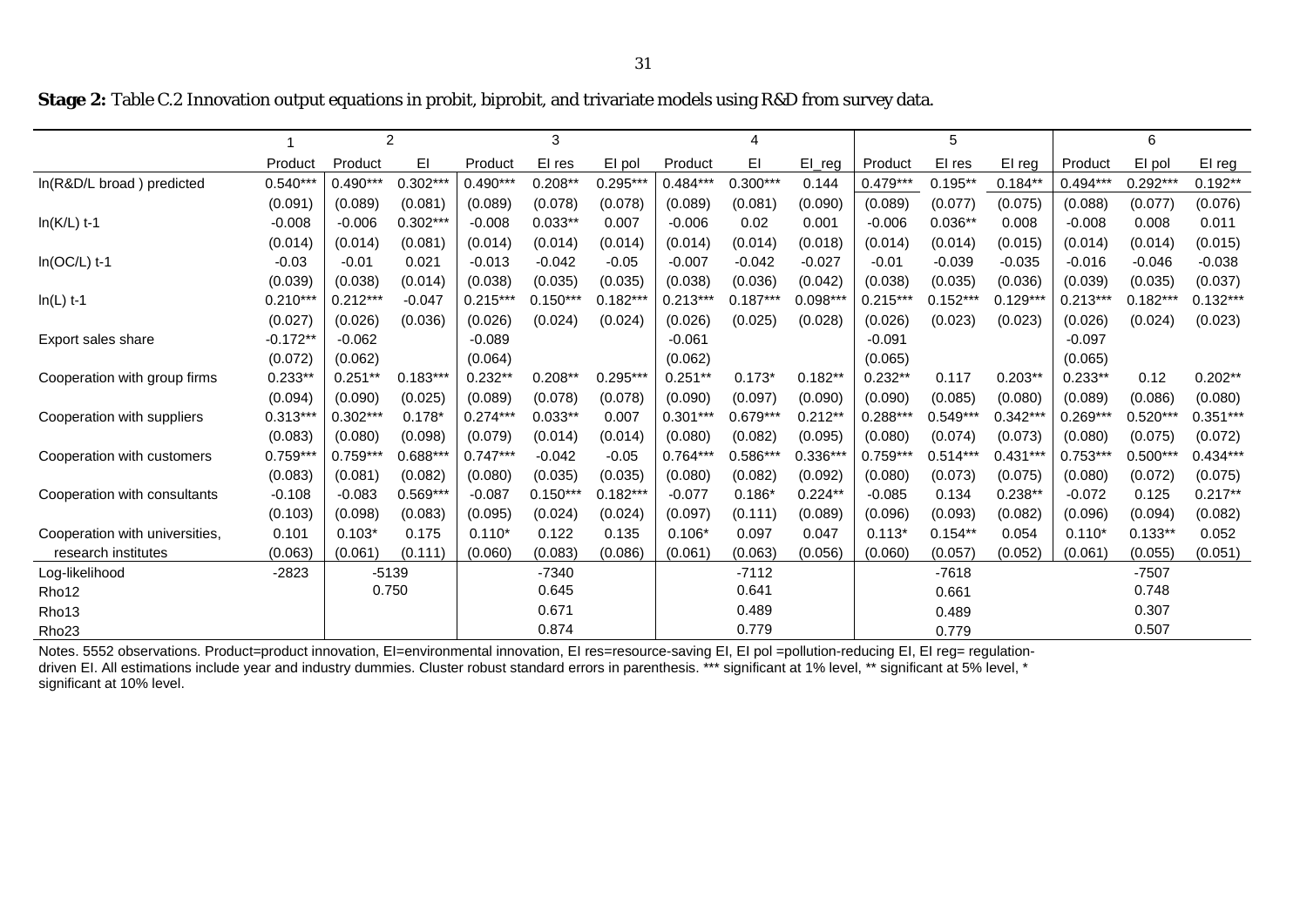**Stage 2:** Table C.2 Innovation output equations in probit, biprobit, and trivariate models using R&D from survey data.

|                                | $\overline{2}$ |            | $\mathbf{3}$ |            |            | 4          |            |            | 5          |            |            | 6          |            |            |            |
|--------------------------------|----------------|------------|--------------|------------|------------|------------|------------|------------|------------|------------|------------|------------|------------|------------|------------|
|                                | Product        | Product    | EI           | Product    | El res     | El pol     | Product    | EI         | $El_{reg}$ | Product    | EI res     | EI reg     | Product    | El pol     | El reg     |
| In(R&D/L broad) predicted      | $0.540***$     | $0.490***$ | $0.302***$   | $0.490***$ | $0.208**$  | $0.295***$ | $0.484***$ | $0.300***$ | 0.144      | $0.479***$ | $0.195**$  | $0.184**$  | $0.494***$ | $0.292***$ | $0.192**$  |
|                                | (0.091)        | (0.089)    | (0.081)      | (0.089)    | (0.078)    | (0.078)    | (0.089)    | (0.081)    | (0.090)    | (0.089)    | (0.077)    | (0.075)    | (0.088)    | (0.077)    | (0.076)    |
| $In(K/L)$ t-1                  | $-0.008$       | $-0.006$   | $0.302***$   | $-0.008$   | $0.033**$  | 0.007      | $-0.006$   | 0.02       | 0.001      | $-0.006$   | $0.036**$  | 0.008      | $-0.008$   | 0.008      | 0.011      |
|                                | (0.014)        | (0.014)    | (0.081)      | (0.014)    | (0.014)    | (0.014)    | (0.014)    | (0.014)    | (0.018)    | (0.014)    | (0.014)    | (0.015)    | (0.014)    | (0.014)    | (0.015)    |
| $In(OC/L)$ t-1                 | $-0.03$        | $-0.01$    | 0.021        | $-0.013$   | $-0.042$   | $-0.05$    | $-0.007$   | $-0.042$   | $-0.027$   | $-0.01$    | $-0.039$   | $-0.035$   | $-0.016$   | $-0.046$   | $-0.038$   |
|                                | (0.039)        | (0.038)    | (0.014)      | (0.038)    | (0.035)    | (0.035)    | (0.038)    | (0.036)    | (0.042)    | (0.038)    | (0.035)    | (0.036)    | (0.039)    | (0.035)    | (0.037)    |
| $In(L)$ t-1                    | $0.210***$     | $0.212***$ | $-0.047$     | $0.215***$ | $0.150***$ | $0.182***$ | $0.213***$ | $0.187***$ | $0.098***$ | $0.215***$ | $0.152***$ | $0.129***$ | $0.213***$ | $0.182***$ | $0.132***$ |
|                                | (0.027)        | (0.026)    | (0.036)      | (0.026)    | (0.024)    | (0.024)    | (0.026)    | (0.025)    | (0.028)    | (0.026)    | (0.023)    | (0.023)    | (0.026)    | (0.024)    | (0.023)    |
| Export sales share             | $-0.172**$     | $-0.062$   |              | $-0.089$   |            |            | $-0.061$   |            |            | $-0.091$   |            |            | $-0.097$   |            |            |
|                                | (0.072)        | (0.062)    |              | (0.064)    |            |            | (0.062)    |            |            | (0.065)    |            |            | (0.065)    |            |            |
| Cooperation with group firms   | $0.233**$      | $0.251**$  | $0.183***$   | $0.232**$  | $0.208**$  | $0.295***$ | $0.251**$  | $0.173*$   | $0.182**$  | $0.232**$  | 0.117      | $0.203**$  | $0.233**$  | 0.12       | $0.202**$  |
|                                | (0.094)        | (0.090)    | (0.025)      | (0.089)    | (0.078)    | (0.078)    | (0.090)    | (0.097)    | (0.090)    | (0.090)    | (0.085)    | (0.080)    | (0.089)    | (0.086)    | (0.080)    |
| Cooperation with suppliers     | $0.313***$     | $0.302***$ | $0.178*$     | $0.274***$ | $0.033**$  | 0.007      | $0.301***$ | $0.679***$ | $0.212**$  | $0.288***$ | $0.549***$ | $0.342**$  | $0.269***$ | $0.520***$ | $0.351***$ |
|                                | (0.083)        | (0.080)    | (0.098)      | (0.079)    | (0.014)    | (0.014)    | (0.080)    | (0.082)    | (0.095)    | (0.080)    | (0.074)    | (0.073)    | (0.080)    | (0.075)    | (0.072)    |
| Cooperation with customers     | $0.759***$     | $0.759***$ | $0.688**$    | $0.747***$ | $-0.042$   | $-0.05$    | $0.764***$ | $0.586***$ | $0.336***$ | $0.759***$ | $0.514***$ | $0.431***$ | $0.753***$ | $0.500***$ | $0.434***$ |
|                                | (0.083)        | (0.081)    | (0.082)      | (0.080)    | (0.035)    | (0.035)    | (0.080)    | (0.082)    | (0.092)    | (0.080)    | (0.073)    | (0.075)    | (0.080)    | (0.072)    | (0.075)    |
| Cooperation with consultants   | $-0.108$       | $-0.083$   | $0.569***$   | $-0.087$   | $0.150***$ | $0.182***$ | $-0.077$   | $0.186*$   | $0.224**$  | $-0.085$   | 0.134      | $0.238**$  | $-0.072$   | 0.125      | $0.217**$  |
|                                | (0.103)        | (0.098)    | (0.083)      | (0.095)    | (0.024)    | (0.024)    | (0.097)    | (0.111)    | (0.089)    | (0.096)    | (0.093)    | (0.082)    | (0.096)    | (0.094)    | (0.082)    |
| Cooperation with universities, | 0.101          | $0.103*$   | 0.175        | $0.110*$   | 0.122      | 0.135      | $0.106*$   | 0.097      | 0.047      | $0.113*$   | $0.154**$  | 0.054      | $0.110*$   | $0.133**$  | 0.052      |
| research institutes            | (0.063)        | (0.061)    | (0.111)      | (0.060)    | (0.083)    | (0.086)    | (0.061)    | (0.063)    | (0.056)    | (0.060)    | (0.057)    | (0.052)    | (0.061)    | (0.055)    | (0.051)    |
| Log-likelihood                 | $-2823$        | $-5139$    |              | $-7340$    |            | $-7112$    |            | $-7618$    |            |            | $-7507$    |            |            |            |            |
| Rho12                          |                |            | 0.750        |            | 0.645      |            |            | 0.641      |            |            | 0.661      |            |            | 0.748      |            |
| Rho <sub>13</sub>              |                |            |              |            | 0.671      |            |            | 0.489      |            |            | 0.489      |            |            | 0.307      |            |
| Rho <sub>23</sub>              |                |            |              |            | 0.874      |            |            | 0.779      |            |            | 0.779      |            |            | 0.507      |            |

Notes. 5552 observations. Product=product innovation, EI=environmental innovation, EI res=resource-saving EI, EI pol =pollution-reducing EI, EI reg= regulationdriven EI. All estimations include year and industry dummies. Cluster robust standard errors in parenthesis. \*\*\* significant at 1% level, \*\* significant at 5% level, \* significant at 10% level.